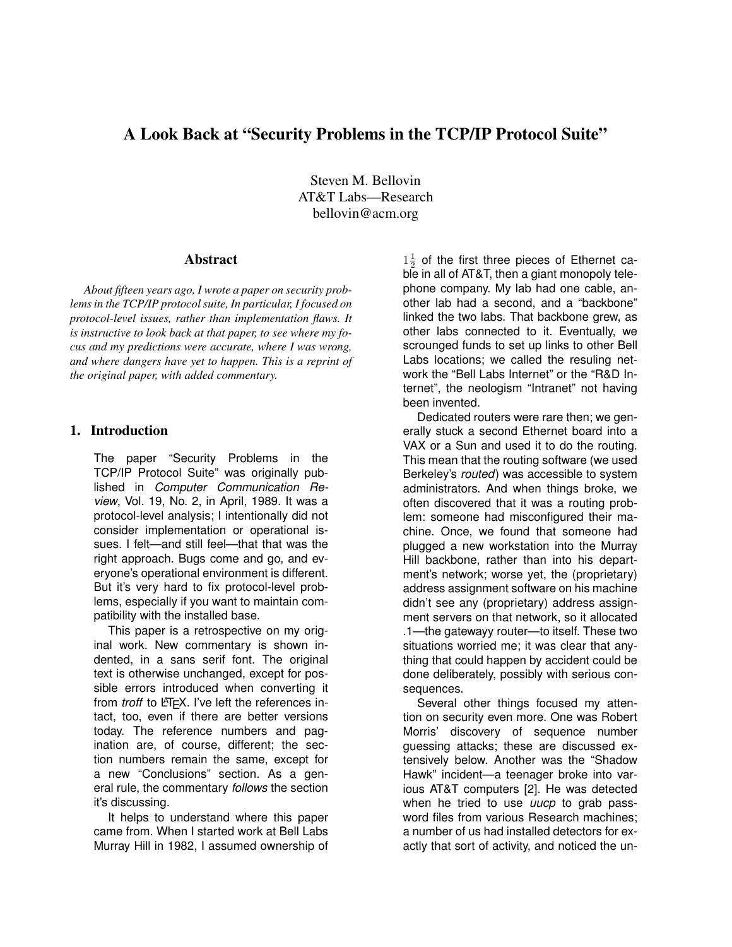# **A Look Back at "Security Problems in the TCP/IP Protocol Suite"**

Steven M. Bellovin AT&T Labs—Research bellovin@acm.org

# **Abstract**

*About fifteen years ago, I wrote a paper on security problemsin the TCP/IP protocol suite, In particular, I focused on protocol-level issues, rather than implementation flaws. It is instructive to look back at that paper, to see where my focus and my predictions were accurate, where I was wrong, and where dangers have yet to happen. This is a reprint of the original paper, with added commentary.*

# **1. Introduction**

The paper "Security Problems in the TCP/IP Protocol Suite" was originally published in Computer Communication Review, Vol. 19, No. 2, in April, 1989. It was a protocol-level analysis; I intentionally did not consider implementation or operational issues. I felt—and still feel—that that was the right approach. Bugs come and go, and everyone's operational environment is different. But it's very hard to fix protocol-level problems, especially if you want to maintain compatibility with the installed base.

This paper is a retrospective on my original work. New commentary is shown indented, in a sans serif font. The original text is otherwise unchanged, except for possible errors introduced when converting it from troff to  $\mathbb{E}E[X]$ . I've left the references intact, too, even if there are better versions today. The reference numbers and pagination are, of course, different; the section numbers remain the same, except for a new "Conclusions" section. As a general rule, the commentary follows the section it's discussing.

It helps to understand where this paper came from. When I started work at Bell Labs Murray Hill in 1982, I assumed ownership of

 $1\frac{1}{2}$  of the first three pieces of Ethernet cable in all of AT&T, then a giant monopoly telephone company. My lab had one cable, another lab had a second, and a "backbone" linked the two labs. That backbone grew, as other labs connected to it. Eventually, we scrounged funds to set up links to other Bell Labs locations; we called the resuling network the "Bell Labs Internet" or the "R&D Internet", the neologism "Intranet" not having been invented.

Dedicated routers were rare then; we generally stuck a second Ethernet board into a VAX or a Sun and used it to do the routing. This mean that the routing software (we used Berkeley's routed) was accessible to system administrators. And when things broke, we often discovered that it was a routing problem: someone had misconfigured their machine. Once, we found that someone had plugged a new workstation into the Murray Hill backbone, rather than into his department's network; worse yet, the (proprietary) address assignment software on his machine didn't see any (proprietary) address assignment servers on that network, so it allocated .1—the gatewayy router—to itself. These two situations worried me; it was clear that anything that could happen by accident could be done deliberately, possibly with serious consequences.

Several other things focused my attention on security even more. One was Robert Morris' discovery of sequence number guessing attacks; these are discussed extensively below. Another was the "Shadow Hawk" incident—a teenager broke into various AT&T computers [2]. He was detected when he tried to use *uucp* to grab password files from various Research machines; a number of us had installed detectors for exactly that sort of activity, and noticed the un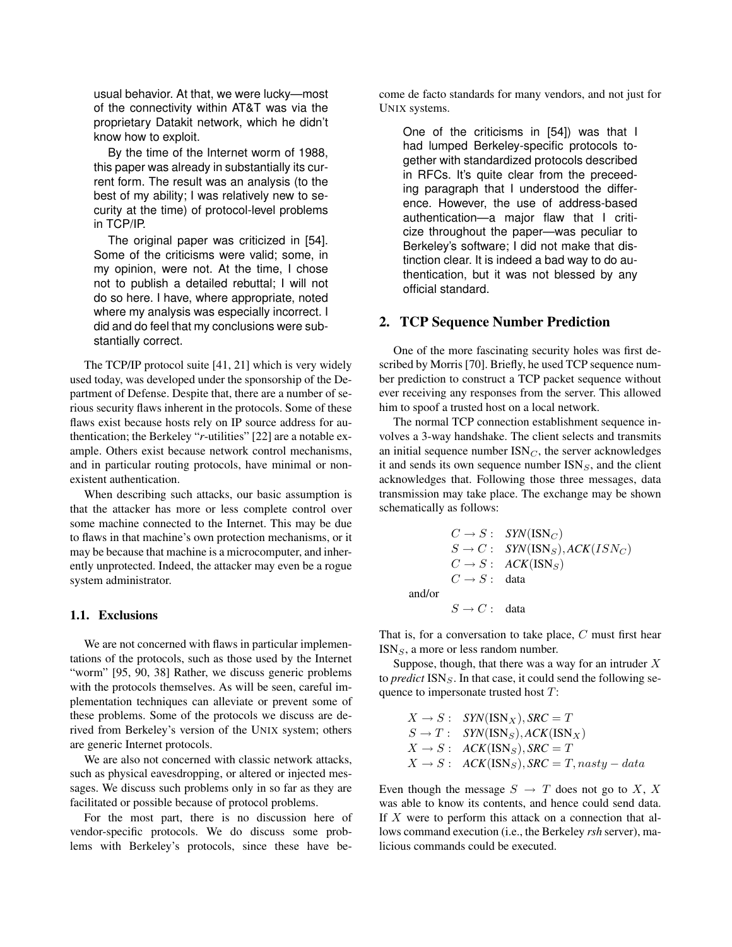usual behavior. At that, we were lucky—most of the connectivity within AT&T was via the proprietary Datakit network, which he didn't know how to exploit.

By the time of the Internet worm of 1988, this paper was already in substantially its current form. The result was an analysis (to the best of my ability; I was relatively new to security at the time) of protocol-level problems in TCP/IP.

The original paper was criticized in [54]. Some of the criticisms were valid; some, in my opinion, were not. At the time, I chose not to publish a detailed rebuttal; I will not do so here. I have, where appropriate, noted where my analysis was especially incorrect. I did and do feel that my conclusions were substantially correct.

The TCP/IP protocol suite [41, 21] which is very widely used today, was developed under the sponsorship of the Department of Defense. Despite that, there are a number of serious security flaws inherent in the protocols. Some of these flaws exist because hosts rely on IP source address for authentication; the Berkeley "*r*-utilities" [22] are a notable example. Others exist because network control mechanisms, and in particular routing protocols, have minimal or nonexistent authentication.

When describing such attacks, our basic assumption is that the attacker has more or less complete control over some machine connected to the Internet. This may be due to flaws in that machine's own protection mechanisms, or it may be because that machine is a microcomputer, and inherently unprotected. Indeed, the attacker may even be a rogue system administrator.

#### **1.1. Exclusions**

We are not concerned with flaws in particular implementations of the protocols, such as those used by the Internet "worm" [95, 90, 38] Rather, we discuss generic problems with the protocols themselves. As will be seen, careful implementation techniques can alleviate or prevent some of these problems. Some of the protocols we discuss are derived from Berkeley's version of the UNIX system; others are generic Internet protocols.

We are also not concerned with classic network attacks, such as physical eavesdropping, or altered or injected messages. We discuss such problems only in so far as they are facilitated or possible because of protocol problems.

For the most part, there is no discussion here of vendor-specific protocols. We do discuss some problems with Berkeley's protocols, since these have become de facto standards for many vendors, and not just for UNIX systems.

One of the criticisms in [54]) was that I had lumped Berkeley-specific protocols together with standardized protocols described in RFCs. It's quite clear from the preceeding paragraph that I understood the difference. However, the use of address-based authentication—a major flaw that I criticize throughout the paper—was peculiar to Berkeley's software; I did not make that distinction clear. It is indeed a bad way to do authentication, but it was not blessed by any official standard.

### **2. TCP Sequence Number Prediction**

One of the more fascinating security holes was first described by Morris [70]. Briefly, he used TCP sequence number prediction to construct a TCP packet sequence without ever receiving any responses from the server. This allowed him to spoof a trusted host on a local network.

The normal TCP connection establishment sequence involves a 3-way handshake. The client selects and transmits an initial sequence number  $\text{ISN}_C$ , the server acknowledges it and sends its own sequence number  $ISN<sub>S</sub>$ , and the client acknowledges that. Following those three messages, data transmission may take place. The exchange may be shown schematically as follows:

$$
C \rightarrow S: \quad SYN(\text{ISN}_C)
$$
  
\n
$$
S \rightarrow C: \quad SYN(\text{ISN}_S), ACK(ISN_C)
$$
  
\n
$$
C \rightarrow S: \quad ACK(\text{ISN}_S)
$$
  
\n
$$
C \rightarrow S: \quad \text{data}
$$
  
\nand/or  
\n
$$
S \rightarrow C: \quad \text{data}
$$

That is, for a conversation to take place,  $C$  must first hear  $ISN<sub>S</sub>$ , a more or less random number.

Suppose, though, that there was a way for an intruder  $X$ to *predict*  $ISN<sub>S</sub>$ . In that case, it could send the following sequence to impersonate trusted host T:

$$
X \rightarrow S: \quad SYN(ISN_X), SRC = T
$$
  
\n
$$
S \rightarrow T: \quad SYN(ISN_S), ACK(ISN_X)
$$
  
\n
$$
X \rightarrow S: \quad ACK(ISN_S), SRC = T
$$
  
\n
$$
X \rightarrow S: \quad ACK(ISN_S), SRC = T, nasty - data
$$

Even though the message  $S \to T$  does not go to X, X was able to know its contents, and hence could send data. If  $X$  were to perform this attack on a connection that allows command execution (i.e., the Berkeley *rsh* server), malicious commands could be executed.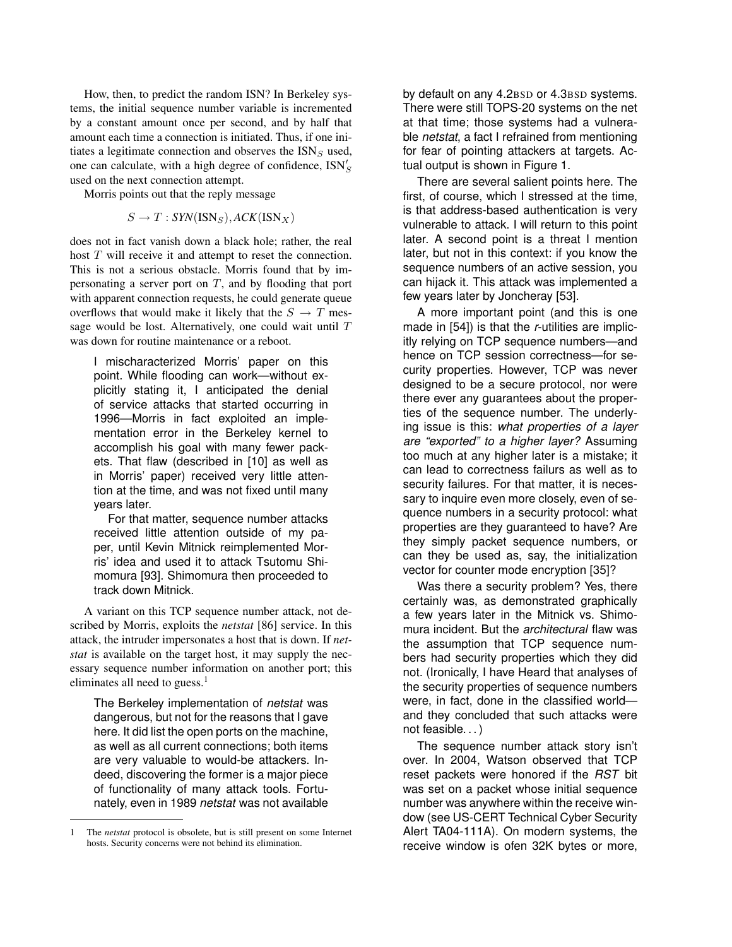How, then, to predict the random ISN? In Berkeley systems, the initial sequence number variable is incremented by a constant amount once per second, and by half that amount each time a connection is initiated. Thus, if one initiates a legitimate connection and observes the  $ISN<sub>S</sub>$  used, one can calculate, with a high degree of confidence,  $ISN'_{S}$ used on the next connection attempt.

Morris points out that the reply message

$$
S \to T : SYN(\text{ISN}_S), ACK(\text{ISN}_X)
$$

does not in fact vanish down a black hole; rather, the real host T will receive it and attempt to reset the connection. This is not a serious obstacle. Morris found that by impersonating a server port on  $T$ , and by flooding that port with apparent connection requests, he could generate queue overflows that would make it likely that the  $S \to T$  message would be lost. Alternatively, one could wait until  $T$ was down for routine maintenance or a reboot.

I mischaracterized Morris' paper on this point. While flooding can work—without explicitly stating it, I anticipated the denial of service attacks that started occurring in 1996—Morris in fact exploited an implementation error in the Berkeley kernel to accomplish his goal with many fewer packets. That flaw (described in [10] as well as in Morris' paper) received very little attention at the time, and was not fixed until many years later.

For that matter, sequence number attacks received little attention outside of my paper, until Kevin Mitnick reimplemented Morris' idea and used it to attack Tsutomu Shimomura [93]. Shimomura then proceeded to track down Mitnick.

A variant on this TCP sequence number attack, not described by Morris, exploits the *netstat* [86] service. In this attack, the intruder impersonates a host that is down. If *netstat* is available on the target host, it may supply the necessary sequence number information on another port; this eliminates all need to guess.<sup>1</sup>

The Berkeley implementation of netstat was dangerous, but not for the reasons that I gave here. It did list the open ports on the machine, as well as all current connections; both items are very valuable to would-be attackers. Indeed, discovering the former is a major piece of functionality of many attack tools. Fortunately, even in 1989 netstat was not available

by default on any 4.2BSD or 4.3BSD systems. There were still TOPS-20 systems on the net at that time; those systems had a vulnerable netstat, a fact I refrained from mentioning for fear of pointing attackers at targets. Actual output is shown in Figure 1.

There are several salient points here. The first, of course, which I stressed at the time, is that address-based authentication is very vulnerable to attack. I will return to this point later. A second point is a threat I mention later, but not in this context: if you know the sequence numbers of an active session, you can hijack it. This attack was implemented a few years later by Joncheray [53].

A more important point (and this is one made in  $[54]$ ) is that the *r*-utilities are implicitly relying on TCP sequence numbers—and hence on TCP session correctness—for security properties. However, TCP was never designed to be a secure protocol, nor were there ever any guarantees about the properties of the sequence number. The underlying issue is this: what properties of a layer are "exported" to a higher layer? Assuming too much at any higher later is a mistake; it can lead to correctness failurs as well as to security failures. For that matter, it is necessary to inquire even more closely, even of sequence numbers in a security protocol: what properties are they guaranteed to have? Are they simply packet sequence numbers, or can they be used as, say, the initialization vector for counter mode encryption [35]?

Was there a security problem? Yes, there certainly was, as demonstrated graphically a few years later in the Mitnick vs. Shimomura incident. But the *architectural* flaw was the assumption that TCP sequence numbers had security properties which they did not. (Ironically, I have Heard that analyses of the security properties of sequence numbers were, in fact, done in the classified world and they concluded that such attacks were not feasible. . .)

The sequence number attack story isn't over. In 2004, Watson observed that TCP reset packets were honored if the RST bit was set on a packet whose initial sequence number was anywhere within the receive window (see US-CERT Technical Cyber Security Alert TA04-111A). On modern systems, the receive window is ofen 32K bytes or more,

<sup>1</sup> The *netstat* protocol is obsolete, but is still present on some Internet hosts. Security concerns were not behind its elimination.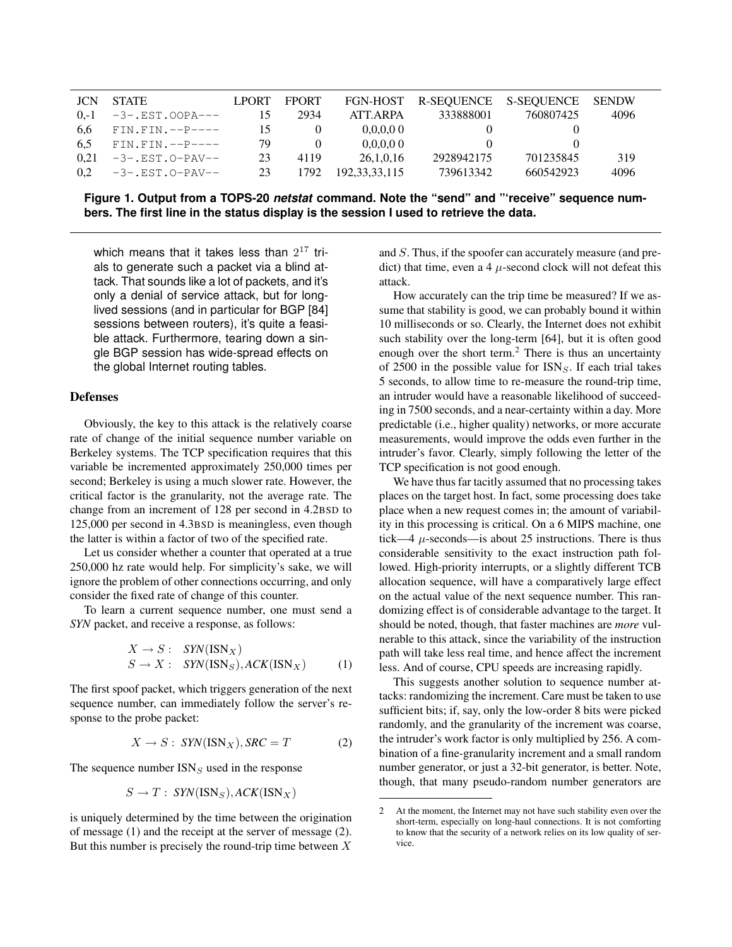| <b>JCN</b> | STATE                            |    | LPORT FPORT |               | FGN-HOST R-SEQUENCE S-SEQUENCE SENDW |           |      |
|------------|----------------------------------|----|-------------|---------------|--------------------------------------|-----------|------|
|            | $0,-1$ -3-.EST.OOPA---           | 15 | 2934        | ATT.ARPA      | 333888001                            | 760807425 | 4096 |
| 6.6        | $\text{FIN.FIN.} -- \text{P}---$ | 15 |             | 0.0.0.00      |                                      |           |      |
|            | $6.5$ FIN.FIN.--P----            | 79 |             | 0.0.0.00      |                                      |           |      |
|            | $0.21 -3$ -.EST.O-PAV--          | 23 | 4119        | 26, 1, 0, 16  | 2928942175                           | 701235845 | 319  |
|            | $0.2 -3$ -.EST.O-PAV--           | 23 | 1792        | 192.33.33.115 | 739613342                            | 660542923 | 4096 |

**Figure 1. Output from a TOPS-20 netstat command. Note the "send" and "'receive" sequence numbers. The first line in the status display is the session I used to retrieve the data.**

which means that it takes less than  $2^{17}$  trials to generate such a packet via a blind attack. That sounds like a lot of packets, and it's only a denial of service attack, but for longlived sessions (and in particular for BGP [84] sessions between routers), it's quite a feasible attack. Furthermore, tearing down a single BGP session has wide-spread effects on the global Internet routing tables.

#### **Defenses**

Obviously, the key to this attack is the relatively coarse rate of change of the initial sequence number variable on Berkeley systems. The TCP specification requires that this variable be incremented approximately 250,000 times per second; Berkeley is using a much slower rate. However, the critical factor is the granularity, not the average rate. The change from an increment of 128 per second in 4.2BSD to 125,000 per second in 4.3BSD is meaningless, even though the latter is within a factor of two of the specified rate.

Let us consider whether a counter that operated at a true 250,000 hz rate would help. For simplicity's sake, we will ignore the problem of other connections occurring, and only consider the fixed rate of change of this counter.

To learn a current sequence number, one must send a *SYN* packet, and receive a response, as follows:

$$
X \to S: \quad SYN(ISN_X) \nS \to X: \quad SYN(ISN_S), ACK(ISN_X)
$$
\n(1)

The first spoof packet, which triggers generation of the next sequence number, can immediately follow the server's response to the probe packet:

$$
X \to S: \text{SYN}(\text{ISN}_X), \text{SRC} = T \tag{2}
$$

The sequence number  $ISN<sub>S</sub>$  used in the response

$$
S \to T : \text{SYN}(\text{ISN}_S), \text{ACK}(\text{ISN}_X)
$$

is uniquely determined by the time between the origination of message (1) and the receipt at the server of message (2). But this number is precisely the round-trip time between  $X$ 

and S. Thus, if the spoofer can accurately measure (and predict) that time, even a 4  $\mu$ -second clock will not defeat this attack.

How accurately can the trip time be measured? If we assume that stability is good, we can probably bound it within 10 milliseconds or so. Clearly, the Internet does not exhibit such stability over the long-term [64], but it is often good enough over the short term.<sup>2</sup> There is thus an uncertainty of 2500 in the possible value for  $ISN<sub>S</sub>$ . If each trial takes 5 seconds, to allow time to re-measure the round-trip time, an intruder would have a reasonable likelihood of succeeding in 7500 seconds, and a near-certainty within a day. More predictable (i.e., higher quality) networks, or more accurate measurements, would improve the odds even further in the intruder's favor. Clearly, simply following the letter of the TCP specification is not good enough.

We have thus far tacitly assumed that no processing takes places on the target host. In fact, some processing does take place when a new request comes in; the amount of variability in this processing is critical. On a 6 MIPS machine, one tick—4  $\mu$ -seconds—is about 25 instructions. There is thus considerable sensitivity to the exact instruction path followed. High-priority interrupts, or a slightly different TCB allocation sequence, will have a comparatively large effect on the actual value of the next sequence number. This randomizing effect is of considerable advantage to the target. It should be noted, though, that faster machines are *more* vulnerable to this attack, since the variability of the instruction path will take less real time, and hence affect the increment less. And of course, CPU speeds are increasing rapidly.

This suggests another solution to sequence number attacks: randomizing the increment. Care must be taken to use sufficient bits; if, say, only the low-order 8 bits were picked randomly, and the granularity of the increment was coarse, the intruder's work factor is only multiplied by 256. A combination of a fine-granularity increment and a small random number generator, or just a 32-bit generator, is better. Note, though, that many pseudo-random number generators are

At the moment, the Internet may not have such stability even over the short-term, especially on long-haul connections. It is not comforting to know that the security of a network relies on its low quality of service.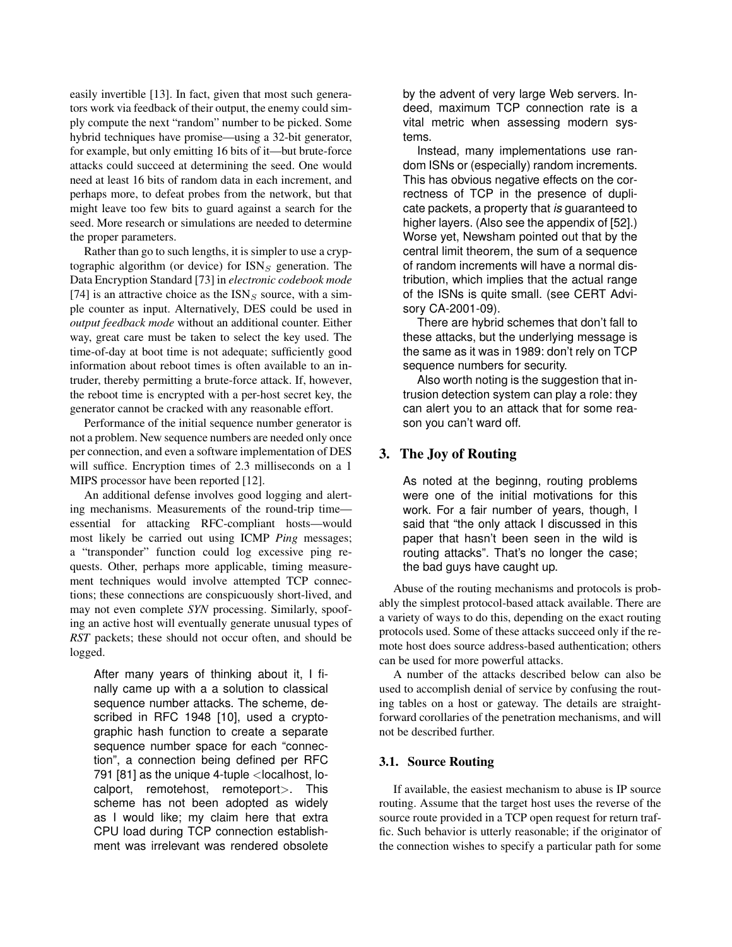easily invertible [13]. In fact, given that most such generators work via feedback of their output, the enemy could simply compute the next "random" number to be picked. Some hybrid techniques have promise—using a 32-bit generator, for example, but only emitting 16 bits of it—but brute-force attacks could succeed at determining the seed. One would need at least 16 bits of random data in each increment, and perhaps more, to defeat probes from the network, but that might leave too few bits to guard against a search for the seed. More research or simulations are needed to determine the proper parameters.

Rather than go to such lengths, it is simpler to use a cryptographic algorithm (or device) for  $ISN<sub>S</sub>$  generation. The Data Encryption Standard [73] in *electronic codebook mode* [74] is an attractive choice as the  $ISN<sub>S</sub>$  source, with a simple counter as input. Alternatively, DES could be used in *output feedback mode* without an additional counter. Either way, great care must be taken to select the key used. The time-of-day at boot time is not adequate; sufficiently good information about reboot times is often available to an intruder, thereby permitting a brute-force attack. If, however, the reboot time is encrypted with a per-host secret key, the generator cannot be cracked with any reasonable effort.

Performance of the initial sequence number generator is not a problem. New sequence numbers are needed only once per connection, and even a software implementation of DES will suffice. Encryption times of 2.3 milliseconds on a 1 MIPS processor have been reported [12].

An additional defense involves good logging and alerting mechanisms. Measurements of the round-trip time essential for attacking RFC-compliant hosts—would most likely be carried out using ICMP *Ping* messages; a "transponder" function could log excessive ping requests. Other, perhaps more applicable, timing measurement techniques would involve attempted TCP connections; these connections are conspicuously short-lived, and may not even complete *SYN* processing. Similarly, spoofing an active host will eventually generate unusual types of *RST* packets; these should not occur often, and should be logged.

After many years of thinking about it, I finally came up with a a solution to classical sequence number attacks. The scheme, described in RFC 1948 [10], used a cryptographic hash function to create a separate sequence number space for each "connection", a connection being defined per RFC 791 [81] as the unique 4-tuple <localhost, localport, remotehost, remoteport>. This scheme has not been adopted as widely as I would like; my claim here that extra CPU load during TCP connection establishment was irrelevant was rendered obsolete

by the advent of very large Web servers. Indeed, maximum TCP connection rate is a vital metric when assessing modern systems.

Instead, many implementations use random ISNs or (especially) random increments. This has obvious negative effects on the correctness of TCP in the presence of duplicate packets, a property that is guaranteed to higher layers. (Also see the appendix of [52].) Worse yet, Newsham pointed out that by the central limit theorem, the sum of a sequence of random increments will have a normal distribution, which implies that the actual range of the ISNs is quite small. (see CERT Advisory CA-2001-09).

There are hybrid schemes that don't fall to these attacks, but the underlying message is the same as it was in 1989: don't rely on TCP sequence numbers for security.

Also worth noting is the suggestion that intrusion detection system can play a role: they can alert you to an attack that for some reason you can't ward off.

# **3. The Joy of Routing**

As noted at the beginng, routing problems were one of the initial motivations for this work. For a fair number of years, though, I said that "the only attack I discussed in this paper that hasn't been seen in the wild is routing attacks". That's no longer the case; the bad guys have caught up.

Abuse of the routing mechanisms and protocols is probably the simplest protocol-based attack available. There are a variety of ways to do this, depending on the exact routing protocols used. Some of these attacks succeed only if the remote host does source address-based authentication; others can be used for more powerful attacks.

A number of the attacks described below can also be used to accomplish denial of service by confusing the routing tables on a host or gateway. The details are straightforward corollaries of the penetration mechanisms, and will not be described further.

# **3.1. Source Routing**

If available, the easiest mechanism to abuse is IP source routing. Assume that the target host uses the reverse of the source route provided in a TCP open request for return traffic. Such behavior is utterly reasonable; if the originator of the connection wishes to specify a particular path for some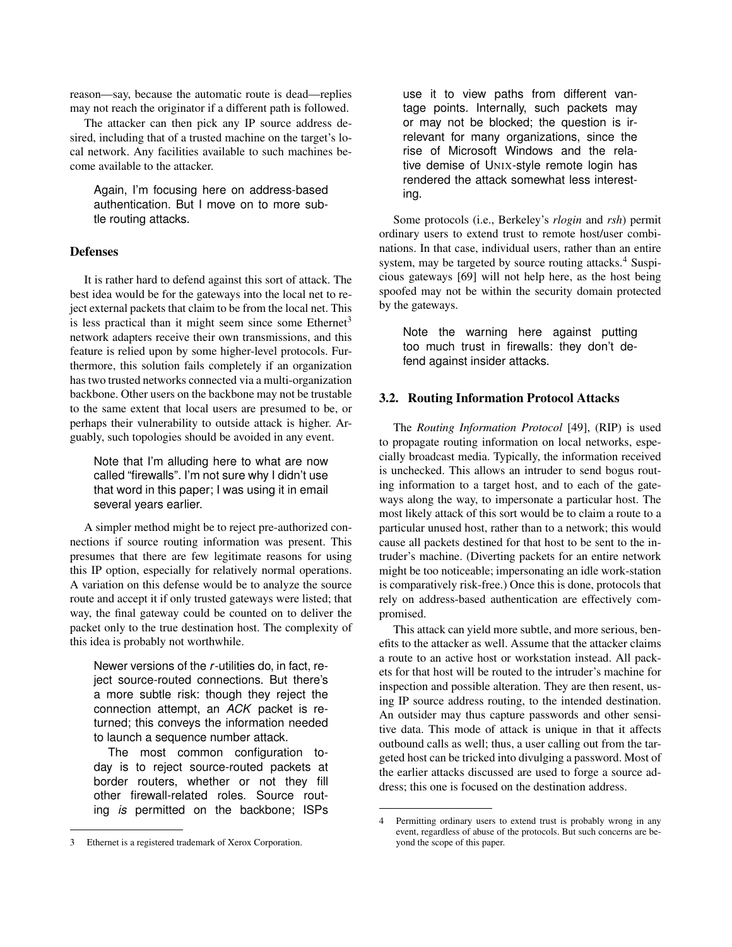reason—say, because the automatic route is dead—replies may not reach the originator if a different path is followed.

The attacker can then pick any IP source address desired, including that of a trusted machine on the target's local network. Any facilities available to such machines become available to the attacker.

Again, I'm focusing here on address-based authentication. But I move on to more subtle routing attacks.

#### **Defenses**

It is rather hard to defend against this sort of attack. The best idea would be for the gateways into the local net to reject external packets that claim to be from the local net. This is less practical than it might seem since some  $E$ thernet<sup>3</sup> network adapters receive their own transmissions, and this feature is relied upon by some higher-level protocols. Furthermore, this solution fails completely if an organization has two trusted networks connected via a multi-organization backbone. Other users on the backbone may not be trustable to the same extent that local users are presumed to be, or perhaps their vulnerability to outside attack is higher. Arguably, such topologies should be avoided in any event.

Note that I'm alluding here to what are now called "firewalls". I'm not sure why I didn't use that word in this paper; I was using it in email several years earlier.

A simpler method might be to reject pre-authorized connections if source routing information was present. This presumes that there are few legitimate reasons for using this IP option, especially for relatively normal operations. A variation on this defense would be to analyze the source route and accept it if only trusted gateways were listed; that way, the final gateway could be counted on to deliver the packet only to the true destination host. The complexity of this idea is probably not worthwhile.

Newer versions of the r-utilities do, in fact, reject source-routed connections. But there's a more subtle risk: though they reject the connection attempt, an ACK packet is returned; this conveys the information needed to launch a sequence number attack.

The most common configuration today is to reject source-routed packets at border routers, whether or not they fill other firewall-related roles. Source routing is permitted on the backbone; ISPs

use it to view paths from different vantage points. Internally, such packets may or may not be blocked; the question is irrelevant for many organizations, since the rise of Microsoft Windows and the relative demise of UNIX-style remote login has rendered the attack somewhat less interesting.

Some protocols (i.e., Berkeley's *rlogin* and *rsh*) permit ordinary users to extend trust to remote host/user combinations. In that case, individual users, rather than an entire system, may be targeted by source routing attacks.<sup>4</sup> Suspicious gateways [69] will not help here, as the host being spoofed may not be within the security domain protected by the gateways.

Note the warning here against putting too much trust in firewalls: they don't defend against insider attacks.

#### **3.2. Routing Information Protocol Attacks**

The *Routing Information Protocol* [49], (RIP) is used to propagate routing information on local networks, especially broadcast media. Typically, the information received is unchecked. This allows an intruder to send bogus routing information to a target host, and to each of the gateways along the way, to impersonate a particular host. The most likely attack of this sort would be to claim a route to a particular unused host, rather than to a network; this would cause all packets destined for that host to be sent to the intruder's machine. (Diverting packets for an entire network might be too noticeable; impersonating an idle work-station is comparatively risk-free.) Once this is done, protocols that rely on address-based authentication are effectively compromised.

This attack can yield more subtle, and more serious, benefits to the attacker as well. Assume that the attacker claims a route to an active host or workstation instead. All packets for that host will be routed to the intruder's machine for inspection and possible alteration. They are then resent, using IP source address routing, to the intended destination. An outsider may thus capture passwords and other sensitive data. This mode of attack is unique in that it affects outbound calls as well; thus, a user calling out from the targeted host can be tricked into divulging a password. Most of the earlier attacks discussed are used to forge a source address; this one is focused on the destination address.

<sup>3</sup> Ethernet is a registered trademark of Xerox Corporation.

<sup>4</sup> Permitting ordinary users to extend trust is probably wrong in any event, regardless of abuse of the protocols. But such concerns are beyond the scope of this paper.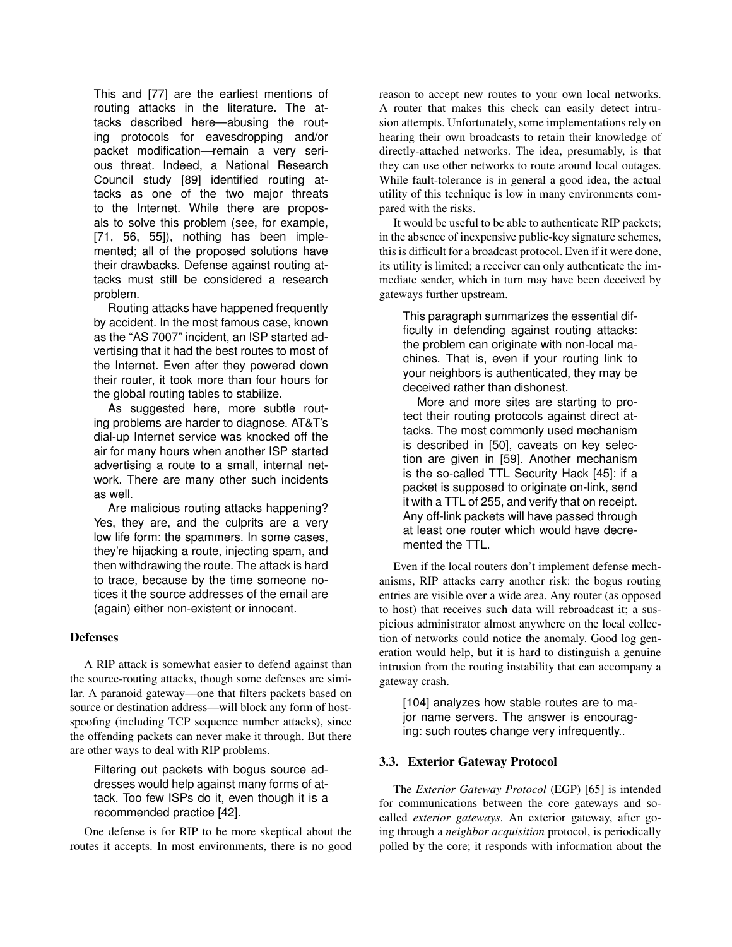This and [77] are the earliest mentions of routing attacks in the literature. The attacks described here—abusing the routing protocols for eavesdropping and/or packet modification—remain a very serious threat. Indeed, a National Research Council study [89] identified routing attacks as one of the two major threats to the Internet. While there are proposals to solve this problem (see, for example, [71, 56, 55]), nothing has been implemented; all of the proposed solutions have their drawbacks. Defense against routing attacks must still be considered a research problem.

Routing attacks have happened frequently by accident. In the most famous case, known as the "AS 7007" incident, an ISP started advertising that it had the best routes to most of the Internet. Even after they powered down their router, it took more than four hours for the global routing tables to stabilize.

As suggested here, more subtle routing problems are harder to diagnose. AT&T's dial-up Internet service was knocked off the air for many hours when another ISP started advertising a route to a small, internal network. There are many other such incidents as well.

Are malicious routing attacks happening? Yes, they are, and the culprits are a very low life form: the spammers. In some cases, they're hijacking a route, injecting spam, and then withdrawing the route. The attack is hard to trace, because by the time someone notices it the source addresses of the email are (again) either non-existent or innocent.

# **Defenses**

A RIP attack is somewhat easier to defend against than the source-routing attacks, though some defenses are similar. A paranoid gateway—one that filters packets based on source or destination address—will block any form of hostspoofing (including TCP sequence number attacks), since the offending packets can never make it through. But there are other ways to deal with RIP problems.

Filtering out packets with bogus source addresses would help against many forms of attack. Too few ISPs do it, even though it is a recommended practice [42].

One defense is for RIP to be more skeptical about the routes it accepts. In most environments, there is no good

reason to accept new routes to your own local networks. A router that makes this check can easily detect intrusion attempts. Unfortunately, some implementations rely on hearing their own broadcasts to retain their knowledge of directly-attached networks. The idea, presumably, is that they can use other networks to route around local outages. While fault-tolerance is in general a good idea, the actual utility of this technique is low in many environments compared with the risks.

It would be useful to be able to authenticate RIP packets; in the absence of inexpensive public-key signature schemes, this is difficult for a broadcast protocol. Even if it were done, its utility is limited; a receiver can only authenticate the immediate sender, which in turn may have been deceived by gateways further upstream.

This paragraph summarizes the essential difficulty in defending against routing attacks: the problem can originate with non-local machines. That is, even if your routing link to your neighbors is authenticated, they may be deceived rather than dishonest.

More and more sites are starting to protect their routing protocols against direct attacks. The most commonly used mechanism is described in [50], caveats on key selection are given in [59]. Another mechanism is the so-called TTL Security Hack [45]: if a packet is supposed to originate on-link, send it with a TTL of 255, and verify that on receipt. Any off-link packets will have passed through at least one router which would have decremented the TTL.

Even if the local routers don't implement defense mechanisms, RIP attacks carry another risk: the bogus routing entries are visible over a wide area. Any router (as opposed to host) that receives such data will rebroadcast it; a suspicious administrator almost anywhere on the local collection of networks could notice the anomaly. Good log generation would help, but it is hard to distinguish a genuine intrusion from the routing instability that can accompany a gateway crash.

[104] analyzes how stable routes are to major name servers. The answer is encouraging: such routes change very infrequently..

### **3.3. Exterior Gateway Protocol**

The *Exterior Gateway Protocol* (EGP) [65] is intended for communications between the core gateways and socalled *exterior gateways*. An exterior gateway, after going through a *neighbor acquisition* protocol, is periodically polled by the core; it responds with information about the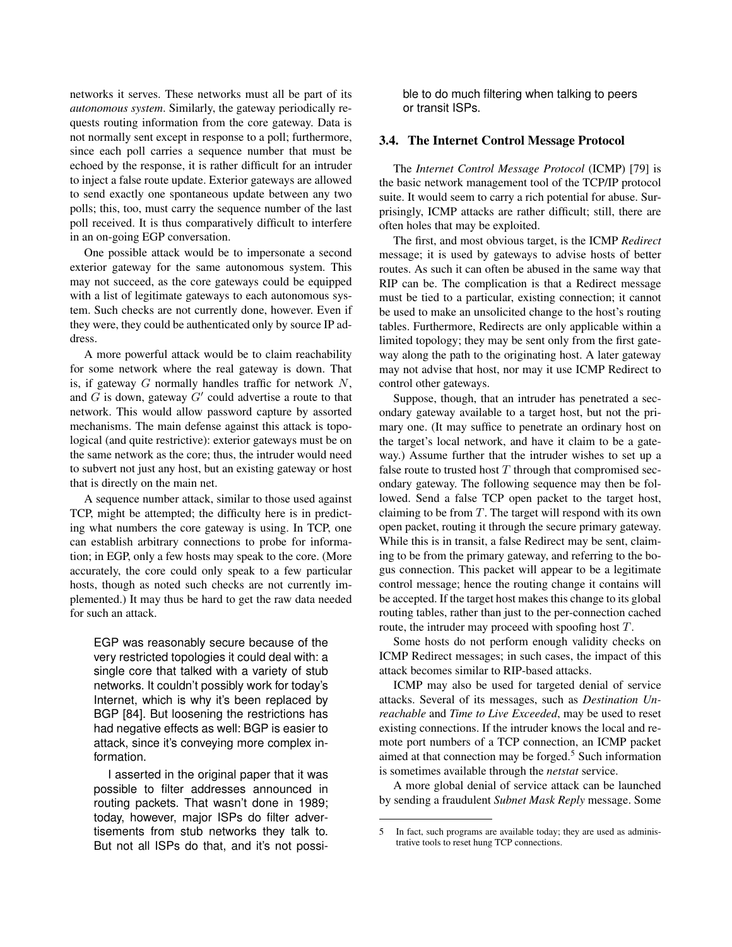networks it serves. These networks must all be part of its *autonomous system*. Similarly, the gateway periodically requests routing information from the core gateway. Data is not normally sent except in response to a poll; furthermore, since each poll carries a sequence number that must be echoed by the response, it is rather difficult for an intruder to inject a false route update. Exterior gateways are allowed to send exactly one spontaneous update between any two polls; this, too, must carry the sequence number of the last poll received. It is thus comparatively difficult to interfere in an on-going EGP conversation.

One possible attack would be to impersonate a second exterior gateway for the same autonomous system. This may not succeed, as the core gateways could be equipped with a list of legitimate gateways to each autonomous system. Such checks are not currently done, however. Even if they were, they could be authenticated only by source IP address.

A more powerful attack would be to claim reachability for some network where the real gateway is down. That is, if gateway  $G$  normally handles traffic for network  $N$ , and  $\tilde{G}$  is down, gateway  $\tilde{G}'$  could advertise a route to that network. This would allow password capture by assorted mechanisms. The main defense against this attack is topological (and quite restrictive): exterior gateways must be on the same network as the core; thus, the intruder would need to subvert not just any host, but an existing gateway or host that is directly on the main net.

A sequence number attack, similar to those used against TCP, might be attempted; the difficulty here is in predicting what numbers the core gateway is using. In TCP, one can establish arbitrary connections to probe for information; in EGP, only a few hosts may speak to the core. (More accurately, the core could only speak to a few particular hosts, though as noted such checks are not currently implemented.) It may thus be hard to get the raw data needed for such an attack.

EGP was reasonably secure because of the very restricted topologies it could deal with: a single core that talked with a variety of stub networks. It couldn't possibly work for today's Internet, which is why it's been replaced by BGP [84]. But loosening the restrictions has had negative effects as well: BGP is easier to attack, since it's conveying more complex information.

I asserted in the original paper that it was possible to filter addresses announced in routing packets. That wasn't done in 1989; today, however, major ISPs do filter advertisements from stub networks they talk to. But not all ISPs do that, and it's not possible to do much filtering when talking to peers or transit ISPs.

#### **3.4. The Internet Control Message Protocol**

The *Internet Control Message Protocol* (ICMP) [79] is the basic network management tool of the TCP/IP protocol suite. It would seem to carry a rich potential for abuse. Surprisingly, ICMP attacks are rather difficult; still, there are often holes that may be exploited.

The first, and most obvious target, is the ICMP *Redirect* message; it is used by gateways to advise hosts of better routes. As such it can often be abused in the same way that RIP can be. The complication is that a Redirect message must be tied to a particular, existing connection; it cannot be used to make an unsolicited change to the host's routing tables. Furthermore, Redirects are only applicable within a limited topology; they may be sent only from the first gateway along the path to the originating host. A later gateway may not advise that host, nor may it use ICMP Redirect to control other gateways.

Suppose, though, that an intruder has penetrated a secondary gateway available to a target host, but not the primary one. (It may suffice to penetrate an ordinary host on the target's local network, and have it claim to be a gateway.) Assume further that the intruder wishes to set up a false route to trusted host  $T$  through that compromised secondary gateway. The following sequence may then be followed. Send a false TCP open packet to the target host, claiming to be from  $T$ . The target will respond with its own open packet, routing it through the secure primary gateway. While this is in transit, a false Redirect may be sent, claiming to be from the primary gateway, and referring to the bogus connection. This packet will appear to be a legitimate control message; hence the routing change it contains will be accepted. If the target host makes this change to its global routing tables, rather than just to the per-connection cached route, the intruder may proceed with spoofing host T.

Some hosts do not perform enough validity checks on ICMP Redirect messages; in such cases, the impact of this attack becomes similar to RIP-based attacks.

ICMP may also be used for targeted denial of service attacks. Several of its messages, such as *Destination Unreachable* and *Time to Live Exceeded*, may be used to reset existing connections. If the intruder knows the local and remote port numbers of a TCP connection, an ICMP packet aimed at that connection may be forged.<sup>5</sup> Such information is sometimes available through the *netstat* service.

A more global denial of service attack can be launched by sending a fraudulent *Subnet Mask Reply* message. Some

<sup>5</sup> In fact, such programs are available today; they are used as administrative tools to reset hung TCP connections.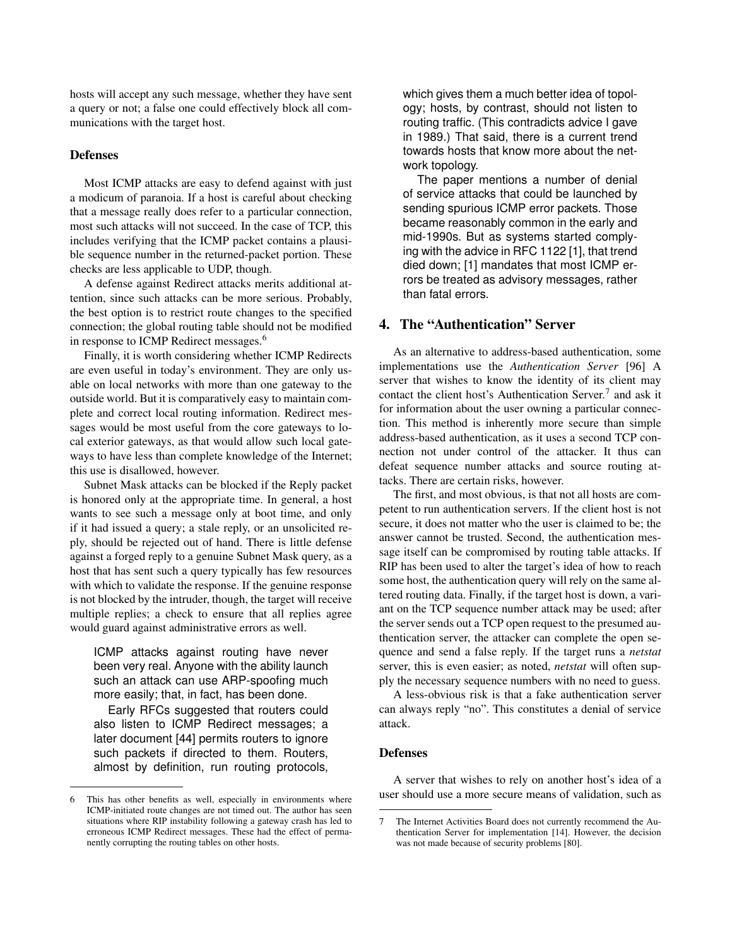hosts will accept any such message, whether they have sent a query or not; a false one could effectively block all communications with the target host.

#### **Defenses**

Most ICMP attacks are easy to defend against with just a modicum of paranoia. If a host is careful about checking that a message really does refer to a particular connection, most such attacks will not succeed. In the case of TCP, this includes verifying that the ICMP packet contains a plausible sequence number in the returned-packet portion. These checks are less applicable to UDP, though.

A defense against Redirect attacks merits additional attention, since such attacks can be more serious. Probably, the best option is to restrict route changes to the specified connection; the global routing table should not be modified in response to ICMP Redirect messages.<sup>6</sup>

Finally, it is worth considering whether ICMP Redirects are even useful in today's environment. They are only usable on local networks with more than one gateway to the outside world. But it is comparatively easy to maintain complete and correct local routing information. Redirect messages would be most useful from the core gateways to local exterior gateways, as that would allow such local gateways to have less than complete knowledge of the Internet; this use is disallowed, however.

Subnet Mask attacks can be blocked if the Reply packet is honored only at the appropriate time. In general, a host wants to see such a message only at boot time, and only if it had issued a query; a stale reply, or an unsolicited reply, should be rejected out of hand. There is little defense against a forged reply to a genuine Subnet Mask query, as a host that has sent such a query typically has few resources with which to validate the response. If the genuine response is not blocked by the intruder, though, the target will receive multiple replies; a check to ensure that all replies agree would guard against administrative errors as well.

ICMP attacks against routing have never been very real. Anyone with the ability launch such an attack can use ARP-spoofing much more easily; that, in fact, has been done.

Early RFCs suggested that routers could also listen to ICMP Redirect messages; a later document [44] permits routers to ignore such packets if directed to them. Routers, almost by definition, run routing protocols,

which gives them a much better idea of topology; hosts, by contrast, should not listen to routing traffic. (This contradicts advice I gave in 1989.) That said, there is a current trend towards hosts that know more about the network topology.

The paper mentions a number of denial of service attacks that could be launched by sending spurious ICMP error packets. Those became reasonably common in the early and mid-1990s. But as systems started complying with the advice in RFC 1122 [1], that trend died down; [1] mandates that most ICMP errors be treated as advisory messages, rather than fatal errors.

# **4. The "Authentication" Server**

As an alternative to address-based authentication, some implementations use the *Authentication Server* [96] A server that wishes to know the identity of its client may contact the client host's Authentication Server. 7 and ask it for information about the user owning a particular connection. This method is inherently more secure than simple address-based authentication, as it uses a second TCP connection not under control of the attacker. It thus can defeat sequence number attacks and source routing attacks. There are certain risks, however.

The first, and most obvious, is that not all hosts are competent to run authentication servers. If the client host is not secure, it does not matter who the user is claimed to be; the answer cannot be trusted. Second, the authentication message itself can be compromised by routing table attacks. If RIP has been used to alter the target's idea of how to reach some host, the authentication query will rely on the same altered routing data. Finally, if the target host is down, a variant on the TCP sequence number attack may be used; after the server sends out a TCP open request to the presumed authentication server, the attacker can complete the open sequence and send a false reply. If the target runs a *netstat* server, this is even easier; as noted, *netstat* will often supply the necessary sequence numbers with no need to guess.

A less-obvious risk is that a fake authentication server can always reply "no". This constitutes a denial of service attack.

### **Defenses**

A server that wishes to rely on another host's idea of a user should use a more secure means of validation, such as

<sup>6</sup> This has other benefits as well, especially in environments where ICMP-initiated route changes are not timed out. The author has seen situations where RIP instability following a gateway crash has led to erroneous ICMP Redirect messages. These had the effect of permanently corrupting the routing tables on other hosts.

<sup>7</sup> The Internet Activities Board does not currently recommend the Authentication Server for implementation [14]. However, the decision was not made because of security problems [80].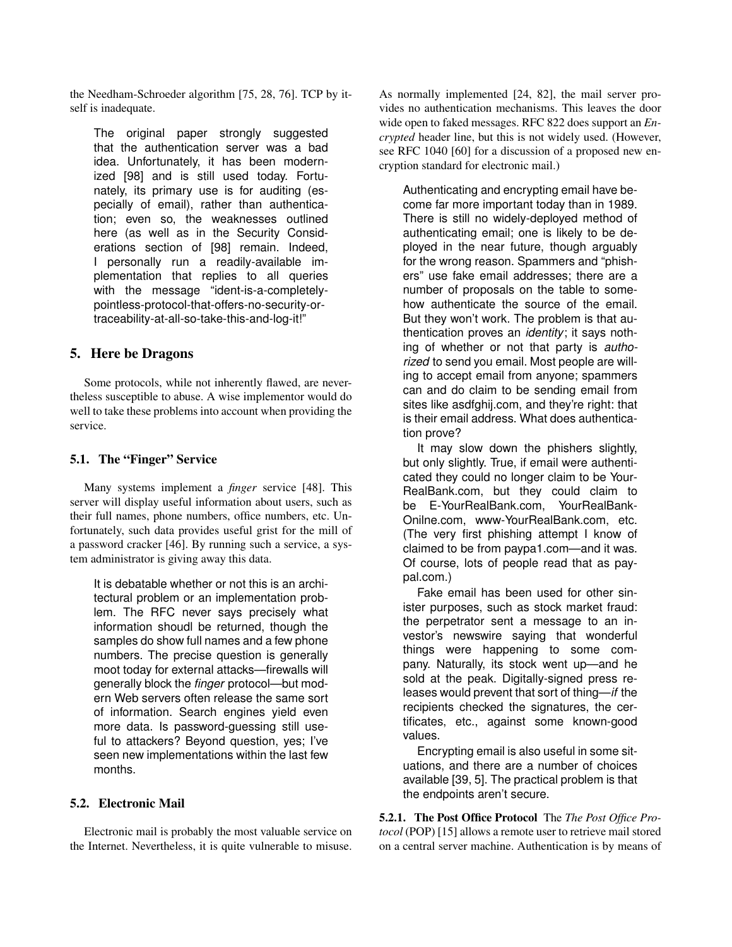the Needham-Schroeder algorithm [75, 28, 76]. TCP by itself is inadequate.

The original paper strongly suggested that the authentication server was a bad idea. Unfortunately, it has been modernized [98] and is still used today. Fortunately, its primary use is for auditing (especially of email), rather than authentication; even so, the weaknesses outlined here (as well as in the Security Considerations section of [98] remain. Indeed, I personally run a readily-available implementation that replies to all queries with the message "ident-is-a-completelypointless-protocol-that-offers-no-security-ortraceability-at-all-so-take-this-and-log-it!"

# **5. Here be Dragons**

Some protocols, while not inherently flawed, are nevertheless susceptible to abuse. A wise implementor would do well to take these problems into account when providing the service.

### **5.1. The "Finger" Service**

Many systems implement a *finger* service [48]. This server will display useful information about users, such as their full names, phone numbers, office numbers, etc. Unfortunately, such data provides useful grist for the mill of a password cracker [46]. By running such a service, a system administrator is giving away this data.

It is debatable whether or not this is an architectural problem or an implementation problem. The RFC never says precisely what information shoudl be returned, though the samples do show full names and a few phone numbers. The precise question is generally moot today for external attacks—firewalls will generally block the finger protocol—but modern Web servers often release the same sort of information. Search engines yield even more data. Is password-guessing still useful to attackers? Beyond question, yes; I've seen new implementations within the last few months.

# **5.2. Electronic Mail**

Electronic mail is probably the most valuable service on the Internet. Nevertheless, it is quite vulnerable to misuse.

As normally implemented [24, 82], the mail server provides no authentication mechanisms. This leaves the door wide open to faked messages. RFC 822 does support an *Encrypted* header line, but this is not widely used. (However, see RFC 1040 [60] for a discussion of a proposed new encryption standard for electronic mail.)

Authenticating and encrypting email have become far more important today than in 1989. There is still no widely-deployed method of authenticating email; one is likely to be deployed in the near future, though arguably for the wrong reason. Spammers and "phishers" use fake email addresses; there are a number of proposals on the table to somehow authenticate the source of the email. But they won't work. The problem is that authentication proves an *identity*; it says nothing of whether or not that party is authorized to send you email. Most people are willing to accept email from anyone; spammers can and do claim to be sending email from sites like asdfghij.com, and they're right: that is their email address. What does authentication prove?

It may slow down the phishers slightly, but only slightly. True, if email were authenticated they could no longer claim to be Your-RealBank.com, but they could claim to be E-YourRealBank.com, YourRealBank-Onilne.com, www-YourRealBank.com, etc. (The very first phishing attempt I know of claimed to be from paypa1.com—and it was. Of course, lots of people read that as paypal.com.)

Fake email has been used for other sinister purposes, such as stock market fraud: the perpetrator sent a message to an investor's newswire saying that wonderful things were happening to some company. Naturally, its stock went up—and he sold at the peak. Digitally-signed press releases would prevent that sort of thing—if the recipients checked the signatures, the certificates, etc., against some known-good values.

Encrypting email is also useful in some situations, and there are a number of choices available [39, 5]. The practical problem is that the endpoints aren't secure.

**5.2.1. The Post Office Protocol** The *The Post Office Protocol* (POP) [15] allows a remote user to retrieve mail stored on a central server machine. Authentication is by means of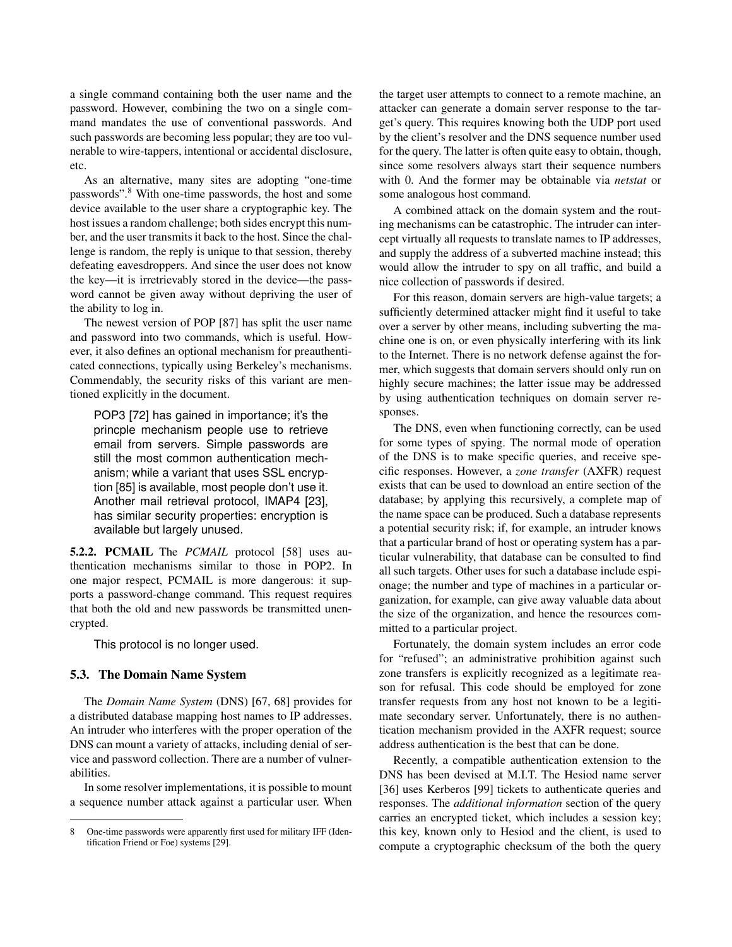a single command containing both the user name and the password. However, combining the two on a single command mandates the use of conventional passwords. And such passwords are becoming less popular; they are too vulnerable to wire-tappers, intentional or accidental disclosure, etc.

As an alternative, many sites are adopting "one-time passwords".<sup>8</sup> With one-time passwords, the host and some device available to the user share a cryptographic key. The host issues a random challenge; both sides encrypt this number, and the user transmits it back to the host. Since the challenge is random, the reply is unique to that session, thereby defeating eavesdroppers. And since the user does not know the key—it is irretrievably stored in the device—the password cannot be given away without depriving the user of the ability to log in.

The newest version of POP [87] has split the user name and password into two commands, which is useful. However, it also defines an optional mechanism for preauthenticated connections, typically using Berkeley's mechanisms. Commendably, the security risks of this variant are mentioned explicitly in the document.

POP3 [72] has gained in importance; it's the princple mechanism people use to retrieve email from servers. Simple passwords are still the most common authentication mechanism; while a variant that uses SSL encryption [85] is available, most people don't use it. Another mail retrieval protocol, IMAP4 [23], has similar security properties: encryption is available but largely unused.

**5.2.2. PCMAIL** The *PCMAIL* protocol [58] uses authentication mechanisms similar to those in POP2. In one major respect, PCMAIL is more dangerous: it supports a password-change command. This request requires that both the old and new passwords be transmitted unencrypted.

This protocol is no longer used.

#### **5.3. The Domain Name System**

The *Domain Name System* (DNS) [67, 68] provides for a distributed database mapping host names to IP addresses. An intruder who interferes with the proper operation of the DNS can mount a variety of attacks, including denial of service and password collection. There are a number of vulnerabilities.

In some resolver implementations, it is possible to mount a sequence number attack against a particular user. When

the target user attempts to connect to a remote machine, an attacker can generate a domain server response to the target's query. This requires knowing both the UDP port used by the client's resolver and the DNS sequence number used for the query. The latter is often quite easy to obtain, though, since some resolvers always start their sequence numbers with 0. And the former may be obtainable via *netstat* or some analogous host command.

A combined attack on the domain system and the routing mechanisms can be catastrophic. The intruder can intercept virtually all requests to translate names to IP addresses, and supply the address of a subverted machine instead; this would allow the intruder to spy on all traffic, and build a nice collection of passwords if desired.

For this reason, domain servers are high-value targets; a sufficiently determined attacker might find it useful to take over a server by other means, including subverting the machine one is on, or even physically interfering with its link to the Internet. There is no network defense against the former, which suggests that domain servers should only run on highly secure machines; the latter issue may be addressed by using authentication techniques on domain server responses.

The DNS, even when functioning correctly, can be used for some types of spying. The normal mode of operation of the DNS is to make specific queries, and receive specific responses. However, a *zone transfer* (AXFR) request exists that can be used to download an entire section of the database; by applying this recursively, a complete map of the name space can be produced. Such a database represents a potential security risk; if, for example, an intruder knows that a particular brand of host or operating system has a particular vulnerability, that database can be consulted to find all such targets. Other uses for such a database include espionage; the number and type of machines in a particular organization, for example, can give away valuable data about the size of the organization, and hence the resources committed to a particular project.

Fortunately, the domain system includes an error code for "refused"; an administrative prohibition against such zone transfers is explicitly recognized as a legitimate reason for refusal. This code should be employed for zone transfer requests from any host not known to be a legitimate secondary server. Unfortunately, there is no authentication mechanism provided in the AXFR request; source address authentication is the best that can be done.

Recently, a compatible authentication extension to the DNS has been devised at M.I.T. The Hesiod name server [36] uses Kerberos [99] tickets to authenticate queries and responses. The *additional information* section of the query carries an encrypted ticket, which includes a session key; this key, known only to Hesiod and the client, is used to compute a cryptographic checksum of the both the query

<sup>8</sup> One-time passwords were apparently first used for military IFF (Identification Friend or Foe) systems [29].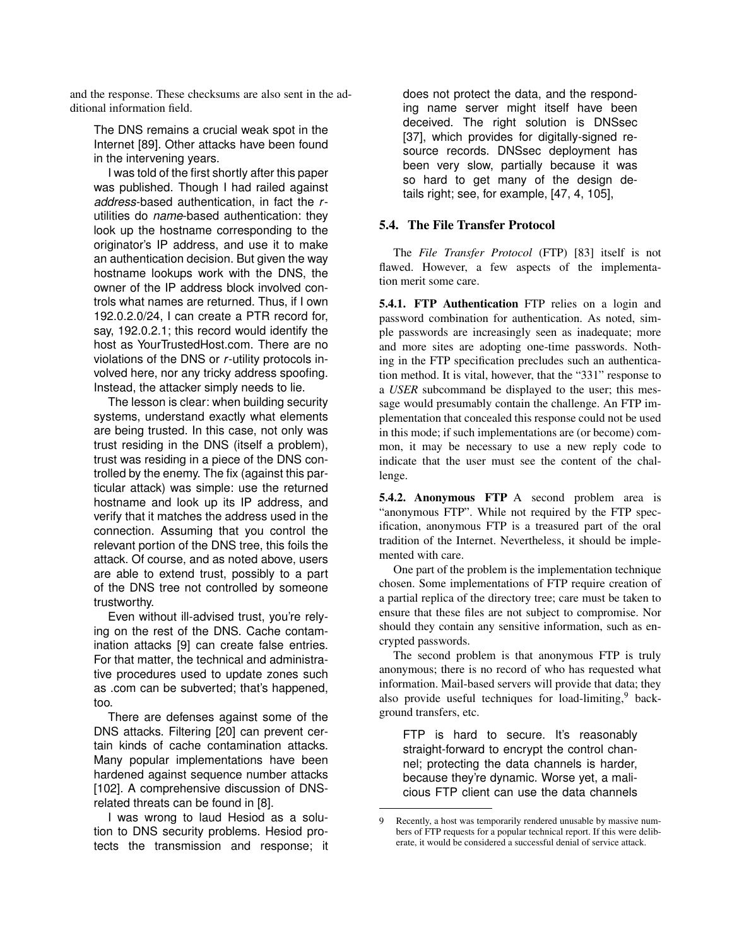and the response. These checksums are also sent in the additional information field.

The DNS remains a crucial weak spot in the Internet [89]. Other attacks have been found in the intervening years.

I was told of the first shortly after this paper was published. Though I had railed against address-based authentication, in fact the rutilities do name-based authentication: they look up the hostname corresponding to the originator's IP address, and use it to make an authentication decision. But given the way hostname lookups work with the DNS, the owner of the IP address block involved controls what names are returned. Thus, if I own 192.0.2.0/24, I can create a PTR record for, say, 192.0.2.1; this record would identify the host as YourTrustedHost.com. There are no violations of the DNS or r-utility protocols involved here, nor any tricky address spoofing. Instead, the attacker simply needs to lie.

The lesson is clear: when building security systems, understand exactly what elements are being trusted. In this case, not only was trust residing in the DNS (itself a problem), trust was residing in a piece of the DNS controlled by the enemy. The fix (against this particular attack) was simple: use the returned hostname and look up its IP address, and verify that it matches the address used in the connection. Assuming that you control the relevant portion of the DNS tree, this foils the attack. Of course, and as noted above, users are able to extend trust, possibly to a part of the DNS tree not controlled by someone trustworthy.

Even without ill-advised trust, you're relying on the rest of the DNS. Cache contamination attacks [9] can create false entries. For that matter, the technical and administrative procedures used to update zones such as .com can be subverted; that's happened, too.

There are defenses against some of the DNS attacks. Filtering [20] can prevent certain kinds of cache contamination attacks. Many popular implementations have been hardened against sequence number attacks [102]. A comprehensive discussion of DNSrelated threats can be found in [8].

I was wrong to laud Hesiod as a solution to DNS security problems. Hesiod protects the transmission and response; it does not protect the data, and the responding name server might itself have been deceived. The right solution is DNSsec [37], which provides for digitally-signed resource records. DNSsec deployment has been very slow, partially because it was so hard to get many of the design details right; see, for example, [47, 4, 105],

### **5.4. The File Transfer Protocol**

The *File Transfer Protocol* (FTP) [83] itself is not flawed. However, a few aspects of the implementation merit some care.

**5.4.1. FTP Authentication** FTP relies on a login and password combination for authentication. As noted, simple passwords are increasingly seen as inadequate; more and more sites are adopting one-time passwords. Nothing in the FTP specification precludes such an authentication method. It is vital, however, that the "331" response to a *USER* subcommand be displayed to the user; this message would presumably contain the challenge. An FTP implementation that concealed this response could not be used in this mode; if such implementations are (or become) common, it may be necessary to use a new reply code to indicate that the user must see the content of the challenge.

**5.4.2. Anonymous FTP** A second problem area is "anonymous FTP". While not required by the FTP specification, anonymous FTP is a treasured part of the oral tradition of the Internet. Nevertheless, it should be implemented with care.

One part of the problem is the implementation technique chosen. Some implementations of FTP require creation of a partial replica of the directory tree; care must be taken to ensure that these files are not subject to compromise. Nor should they contain any sensitive information, such as encrypted passwords.

The second problem is that anonymous FTP is truly anonymous; there is no record of who has requested what information. Mail-based servers will provide that data; they also provide useful techniques for load-limiting,  $9$  background transfers, etc.

FTP is hard to secure. It's reasonably straight-forward to encrypt the control channel; protecting the data channels is harder, because they're dynamic. Worse yet, a malicious FTP client can use the data channels

Recently, a host was temporarily rendered unusable by massive numbers of FTP requests for a popular technical report. If this were deliberate, it would be considered a successful denial of service attack.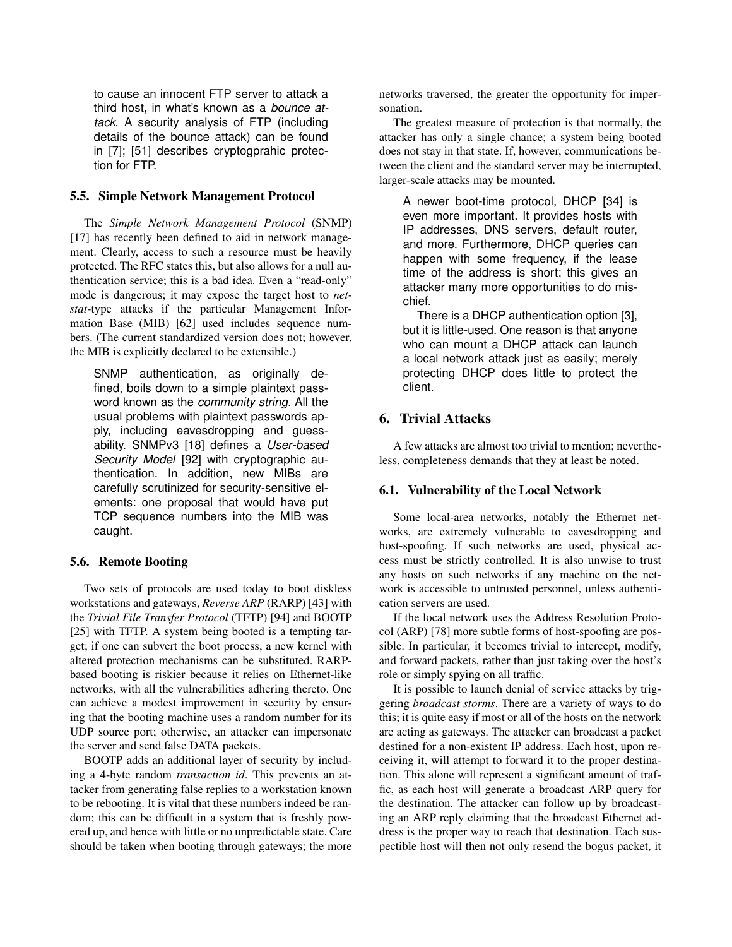to cause an innocent FTP server to attack a third host, in what's known as a *bounce at*tack. A security analysis of FTP (including details of the bounce attack) can be found in [7]; [51] describes cryptogprahic protection for FTP.

### **5.5. Simple Network Management Protocol**

The *Simple Network Management Protocol* (SNMP) [17] has recently been defined to aid in network management. Clearly, access to such a resource must be heavily protected. The RFC states this, but also allows for a null authentication service; this is a bad idea. Even a "read-only" mode is dangerous; it may expose the target host to *netstat*-type attacks if the particular Management Information Base (MIB) [62] used includes sequence numbers. (The current standardized version does not; however, the MIB is explicitly declared to be extensible.)

SNMP authentication, as originally defined, boils down to a simple plaintext password known as the community string. All the usual problems with plaintext passwords apply, including eavesdropping and guessability. SNMPv3 [18] defines a User-based Security Model [92] with cryptographic authentication. In addition, new MIBs are carefully scrutinized for security-sensitive elements: one proposal that would have put TCP sequence numbers into the MIB was caught.

# **5.6. Remote Booting**

Two sets of protocols are used today to boot diskless workstations and gateways, *Reverse ARP* (RARP) [43] with the *Trivial File Transfer Protocol* (TFTP) [94] and BOOTP [25] with TFTP. A system being booted is a tempting target; if one can subvert the boot process, a new kernel with altered protection mechanisms can be substituted. RARPbased booting is riskier because it relies on Ethernet-like networks, with all the vulnerabilities adhering thereto. One can achieve a modest improvement in security by ensuring that the booting machine uses a random number for its UDP source port; otherwise, an attacker can impersonate the server and send false DATA packets.

BOOTP adds an additional layer of security by including a 4-byte random *transaction id*. This prevents an attacker from generating false replies to a workstation known to be rebooting. It is vital that these numbers indeed be random; this can be difficult in a system that is freshly powered up, and hence with little or no unpredictable state. Care should be taken when booting through gateways; the more networks traversed, the greater the opportunity for impersonation.

The greatest measure of protection is that normally, the attacker has only a single chance; a system being booted does not stay in that state. If, however, communications between the client and the standard server may be interrupted, larger-scale attacks may be mounted.

A newer boot-time protocol, DHCP [34] is even more important. It provides hosts with IP addresses, DNS servers, default router, and more. Furthermore, DHCP queries can happen with some frequency, if the lease time of the address is short; this gives an attacker many more opportunities to do mischief.

There is a DHCP authentication option [3], but it is little-used. One reason is that anyone who can mount a DHCP attack can launch a local network attack just as easily; merely protecting DHCP does little to protect the client.

# **6. Trivial Attacks**

A few attacks are almost too trivial to mention; nevertheless, completeness demands that they at least be noted.

### **6.1. Vulnerability of the Local Network**

Some local-area networks, notably the Ethernet networks, are extremely vulnerable to eavesdropping and host-spoofing. If such networks are used, physical access must be strictly controlled. It is also unwise to trust any hosts on such networks if any machine on the network is accessible to untrusted personnel, unless authentication servers are used.

If the local network uses the Address Resolution Protocol (ARP) [78] more subtle forms of host-spoofing are possible. In particular, it becomes trivial to intercept, modify, and forward packets, rather than just taking over the host's role or simply spying on all traffic.

It is possible to launch denial of service attacks by triggering *broadcast storms*. There are a variety of ways to do this; it is quite easy if most or all of the hosts on the network are acting as gateways. The attacker can broadcast a packet destined for a non-existent IP address. Each host, upon receiving it, will attempt to forward it to the proper destination. This alone will represent a significant amount of traffic, as each host will generate a broadcast ARP query for the destination. The attacker can follow up by broadcasting an ARP reply claiming that the broadcast Ethernet address is the proper way to reach that destination. Each suspectible host will then not only resend the bogus packet, it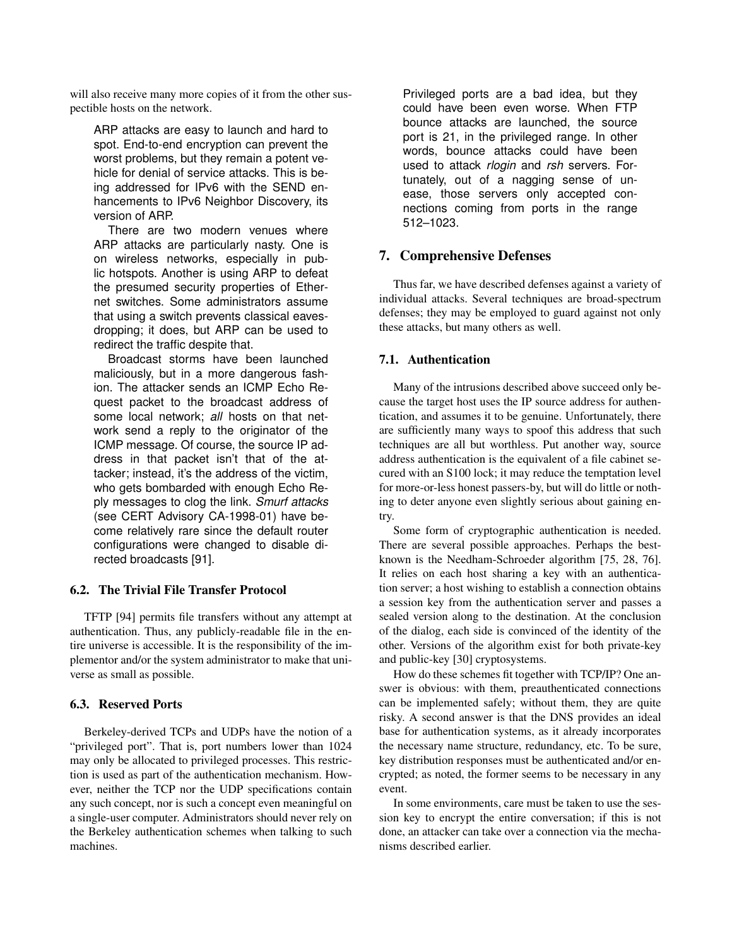will also receive many more copies of it from the other suspectible hosts on the network.

ARP attacks are easy to launch and hard to spot. End-to-end encryption can prevent the worst problems, but they remain a potent vehicle for denial of service attacks. This is being addressed for IPv6 with the SEND enhancements to IPv6 Neighbor Discovery, its version of ARP.

There are two modern venues where ARP attacks are particularly nasty. One is on wireless networks, especially in public hotspots. Another is using ARP to defeat the presumed security properties of Ethernet switches. Some administrators assume that using a switch prevents classical eavesdropping; it does, but ARP can be used to redirect the traffic despite that.

Broadcast storms have been launched maliciously, but in a more dangerous fashion. The attacker sends an ICMP Echo Request packet to the broadcast address of some local network; all hosts on that network send a reply to the originator of the ICMP message. Of course, the source IP address in that packet isn't that of the attacker; instead, it's the address of the victim, who gets bombarded with enough Echo Reply messages to clog the link. Smurf attacks (see CERT Advisory CA-1998-01) have become relatively rare since the default router configurations were changed to disable directed broadcasts [91].

### **6.2. The Trivial File Transfer Protocol**

TFTP [94] permits file transfers without any attempt at authentication. Thus, any publicly-readable file in the entire universe is accessible. It is the responsibility of the implementor and/or the system administrator to make that universe as small as possible.

### **6.3. Reserved Ports**

Berkeley-derived TCPs and UDPs have the notion of a "privileged port". That is, port numbers lower than 1024 may only be allocated to privileged processes. This restriction is used as part of the authentication mechanism. However, neither the TCP nor the UDP specifications contain any such concept, nor is such a concept even meaningful on a single-user computer. Administrators should never rely on the Berkeley authentication schemes when talking to such machines.

Privileged ports are a bad idea, but they could have been even worse. When FTP bounce attacks are launched, the source port is 21, in the privileged range. In other words, bounce attacks could have been used to attack rlogin and rsh servers. Fortunately, out of a nagging sense of unease, those servers only accepted connections coming from ports in the range 512–1023.

### **7. Comprehensive Defenses**

Thus far, we have described defenses against a variety of individual attacks. Several techniques are broad-spectrum defenses; they may be employed to guard against not only these attacks, but many others as well.

#### **7.1. Authentication**

Many of the intrusions described above succeed only because the target host uses the IP source address for authentication, and assumes it to be genuine. Unfortunately, there are sufficiently many ways to spoof this address that such techniques are all but worthless. Put another way, source address authentication is the equivalent of a file cabinet secured with an S100 lock; it may reduce the temptation level for more-or-less honest passers-by, but will do little or nothing to deter anyone even slightly serious about gaining entry.

Some form of cryptographic authentication is needed. There are several possible approaches. Perhaps the bestknown is the Needham-Schroeder algorithm [75, 28, 76]. It relies on each host sharing a key with an authentication server; a host wishing to establish a connection obtains a session key from the authentication server and passes a sealed version along to the destination. At the conclusion of the dialog, each side is convinced of the identity of the other. Versions of the algorithm exist for both private-key and public-key [30] cryptosystems.

How do these schemes fit together with TCP/IP? One answer is obvious: with them, preauthenticated connections can be implemented safely; without them, they are quite risky. A second answer is that the DNS provides an ideal base for authentication systems, as it already incorporates the necessary name structure, redundancy, etc. To be sure, key distribution responses must be authenticated and/or encrypted; as noted, the former seems to be necessary in any event.

In some environments, care must be taken to use the session key to encrypt the entire conversation; if this is not done, an attacker can take over a connection via the mechanisms described earlier.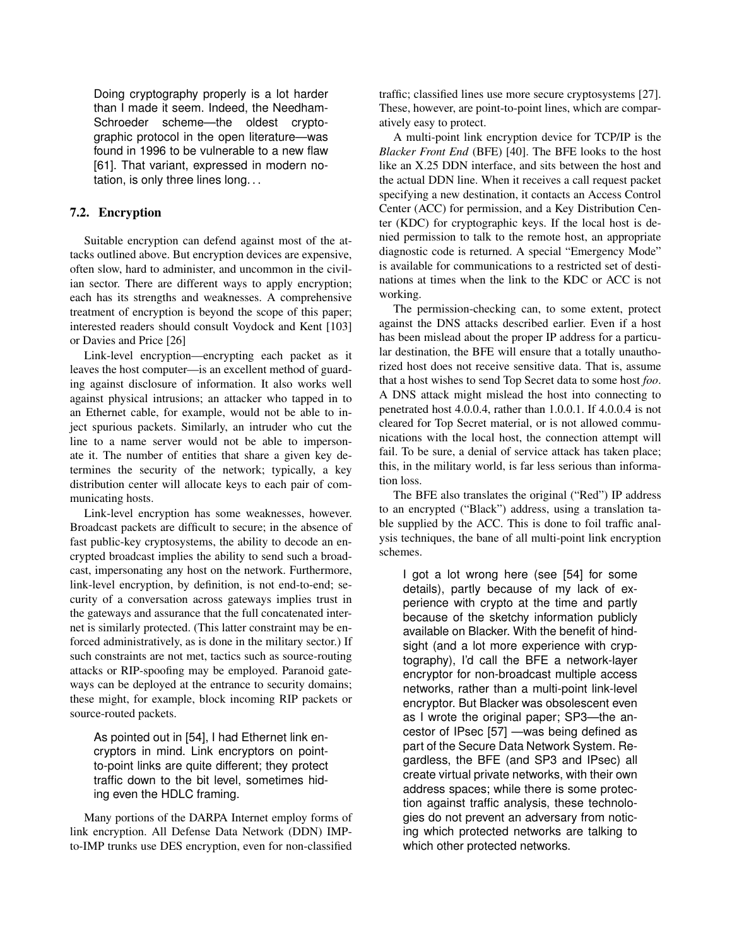Doing cryptography properly is a lot harder than I made it seem. Indeed, the Needham-Schroeder scheme—the oldest cryptographic protocol in the open literature—was found in 1996 to be vulnerable to a new flaw [61]. That variant, expressed in modern notation, is only three lines long. . .

## **7.2. Encryption**

Suitable encryption can defend against most of the attacks outlined above. But encryption devices are expensive, often slow, hard to administer, and uncommon in the civilian sector. There are different ways to apply encryption; each has its strengths and weaknesses. A comprehensive treatment of encryption is beyond the scope of this paper; interested readers should consult Voydock and Kent [103] or Davies and Price [26]

Link-level encryption—encrypting each packet as it leaves the host computer—is an excellent method of guarding against disclosure of information. It also works well against physical intrusions; an attacker who tapped in to an Ethernet cable, for example, would not be able to inject spurious packets. Similarly, an intruder who cut the line to a name server would not be able to impersonate it. The number of entities that share a given key determines the security of the network; typically, a key distribution center will allocate keys to each pair of communicating hosts.

Link-level encryption has some weaknesses, however. Broadcast packets are difficult to secure; in the absence of fast public-key cryptosystems, the ability to decode an encrypted broadcast implies the ability to send such a broadcast, impersonating any host on the network. Furthermore, link-level encryption, by definition, is not end-to-end; security of a conversation across gateways implies trust in the gateways and assurance that the full concatenated internet is similarly protected. (This latter constraint may be enforced administratively, as is done in the military sector.) If such constraints are not met, tactics such as source-routing attacks or RIP-spoofing may be employed. Paranoid gateways can be deployed at the entrance to security domains; these might, for example, block incoming RIP packets or source-routed packets.

As pointed out in [54], I had Ethernet link encryptors in mind. Link encryptors on pointto-point links are quite different; they protect traffic down to the bit level, sometimes hiding even the HDLC framing.

Many portions of the DARPA Internet employ forms of link encryption. All Defense Data Network (DDN) IMPto-IMP trunks use DES encryption, even for non-classified traffic; classified lines use more secure cryptosystems [27]. These, however, are point-to-point lines, which are comparatively easy to protect.

A multi-point link encryption device for TCP/IP is the *Blacker Front End* (BFE) [40]. The BFE looks to the host like an X.25 DDN interface, and sits between the host and the actual DDN line. When it receives a call request packet specifying a new destination, it contacts an Access Control Center (ACC) for permission, and a Key Distribution Center (KDC) for cryptographic keys. If the local host is denied permission to talk to the remote host, an appropriate diagnostic code is returned. A special "Emergency Mode" is available for communications to a restricted set of destinations at times when the link to the KDC or ACC is not working.

The permission-checking can, to some extent, protect against the DNS attacks described earlier. Even if a host has been mislead about the proper IP address for a particular destination, the BFE will ensure that a totally unauthorized host does not receive sensitive data. That is, assume that a host wishes to send Top Secret data to some host *foo*. A DNS attack might mislead the host into connecting to penetrated host 4.0.0.4, rather than 1.0.0.1. If 4.0.0.4 is not cleared for Top Secret material, or is not allowed communications with the local host, the connection attempt will fail. To be sure, a denial of service attack has taken place; this, in the military world, is far less serious than information loss.

The BFE also translates the original ("Red") IP address to an encrypted ("Black") address, using a translation table supplied by the ACC. This is done to foil traffic analysis techniques, the bane of all multi-point link encryption schemes.

I got a lot wrong here (see [54] for some details), partly because of my lack of experience with crypto at the time and partly because of the sketchy information publicly available on Blacker. With the benefit of hindsight (and a lot more experience with cryptography), I'd call the BFE a network-layer encryptor for non-broadcast multiple access networks, rather than a multi-point link-level encryptor. But Blacker was obsolescent even as I wrote the original paper; SP3—the ancestor of IPsec [57] —was being defined as part of the Secure Data Network System. Regardless, the BFE (and SP3 and IPsec) all create virtual private networks, with their own address spaces; while there is some protection against traffic analysis, these technologies do not prevent an adversary from noticing which protected networks are talking to which other protected networks.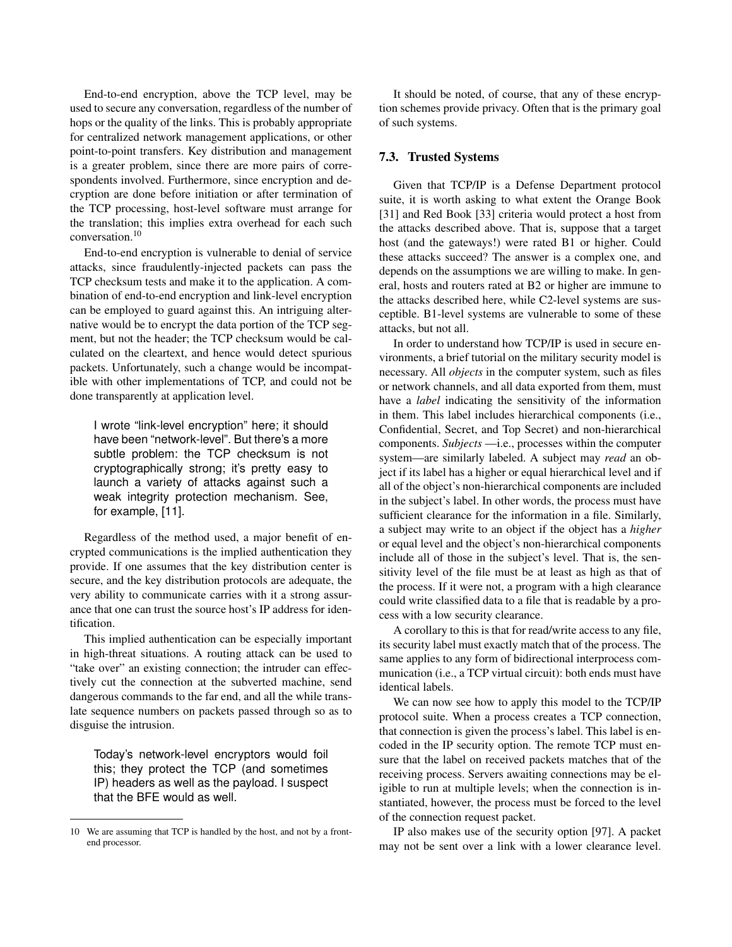End-to-end encryption, above the TCP level, may be used to secure any conversation, regardless of the number of hops or the quality of the links. This is probably appropriate for centralized network management applications, or other point-to-point transfers. Key distribution and management is a greater problem, since there are more pairs of correspondents involved. Furthermore, since encryption and decryption are done before initiation or after termination of the TCP processing, host-level software must arrange for the translation; this implies extra overhead for each such conversation.<sup>10</sup>

End-to-end encryption is vulnerable to denial of service attacks, since fraudulently-injected packets can pass the TCP checksum tests and make it to the application. A combination of end-to-end encryption and link-level encryption can be employed to guard against this. An intriguing alternative would be to encrypt the data portion of the TCP segment, but not the header; the TCP checksum would be calculated on the cleartext, and hence would detect spurious packets. Unfortunately, such a change would be incompatible with other implementations of TCP, and could not be done transparently at application level.

I wrote "link-level encryption" here; it should have been "network-level". But there's a more subtle problem: the TCP checksum is not cryptographically strong; it's pretty easy to launch a variety of attacks against such a weak integrity protection mechanism. See, for example, [11].

Regardless of the method used, a major benefit of encrypted communications is the implied authentication they provide. If one assumes that the key distribution center is secure, and the key distribution protocols are adequate, the very ability to communicate carries with it a strong assurance that one can trust the source host's IP address for identification.

This implied authentication can be especially important in high-threat situations. A routing attack can be used to "take over" an existing connection; the intruder can effectively cut the connection at the subverted machine, send dangerous commands to the far end, and all the while translate sequence numbers on packets passed through so as to disguise the intrusion.

Today's network-level encryptors would foil this; they protect the TCP (and sometimes IP) headers as well as the payload. I suspect that the BFE would as well.

It should be noted, of course, that any of these encryption schemes provide privacy. Often that is the primary goal of such systems.

#### **7.3. Trusted Systems**

Given that TCP/IP is a Defense Department protocol suite, it is worth asking to what extent the Orange Book [31] and Red Book [33] criteria would protect a host from the attacks described above. That is, suppose that a target host (and the gateways!) were rated B1 or higher. Could these attacks succeed? The answer is a complex one, and depends on the assumptions we are willing to make. In general, hosts and routers rated at B2 or higher are immune to the attacks described here, while C2-level systems are susceptible. B1-level systems are vulnerable to some of these attacks, but not all.

In order to understand how TCP/IP is used in secure environments, a brief tutorial on the military security model is necessary. All *objects* in the computer system, such as files or network channels, and all data exported from them, must have a *label* indicating the sensitivity of the information in them. This label includes hierarchical components (i.e., Confidential, Secret, and Top Secret) and non-hierarchical components. *Subjects* —i.e., processes within the computer system—are similarly labeled. A subject may *read* an object if its label has a higher or equal hierarchical level and if all of the object's non-hierarchical components are included in the subject's label. In other words, the process must have sufficient clearance for the information in a file. Similarly, a subject may write to an object if the object has a *higher* or equal level and the object's non-hierarchical components include all of those in the subject's level. That is, the sensitivity level of the file must be at least as high as that of the process. If it were not, a program with a high clearance could write classified data to a file that is readable by a process with a low security clearance.

A corollary to this is that for read/write access to any file, its security label must exactly match that of the process. The same applies to any form of bidirectional interprocess communication (i.e., a TCP virtual circuit): both ends must have identical labels.

We can now see how to apply this model to the TCP/IP protocol suite. When a process creates a TCP connection, that connection is given the process's label. This label is encoded in the IP security option. The remote TCP must ensure that the label on received packets matches that of the receiving process. Servers awaiting connections may be eligible to run at multiple levels; when the connection is instantiated, however, the process must be forced to the level of the connection request packet.

IP also makes use of the security option [97]. A packet may not be sent over a link with a lower clearance level.

<sup>10</sup> We are assuming that TCP is handled by the host, and not by a frontend processor.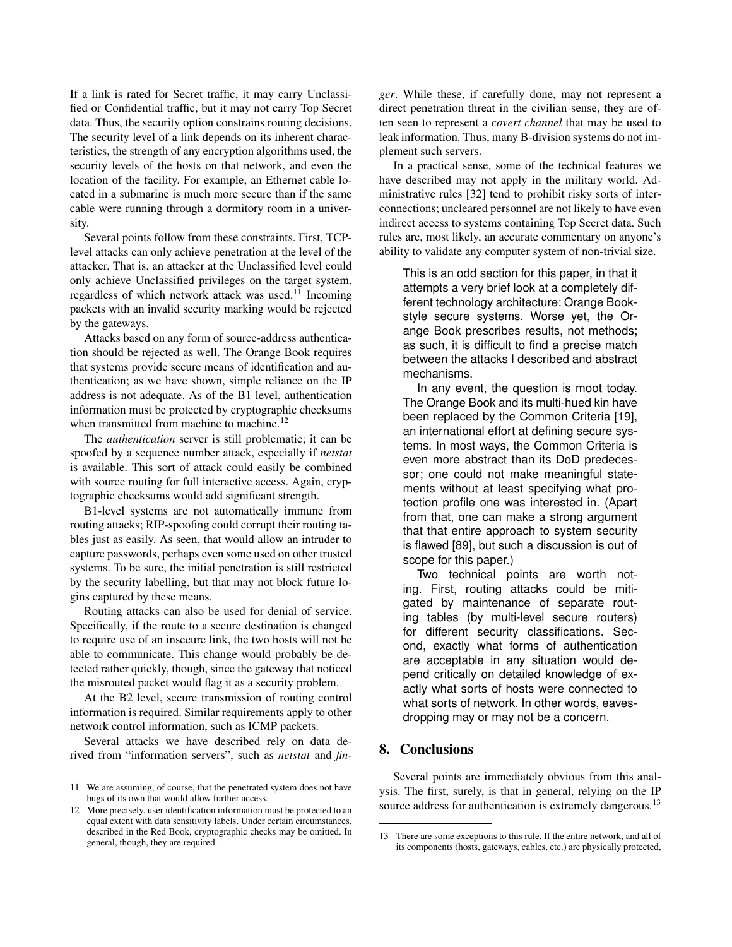If a link is rated for Secret traffic, it may carry Unclassified or Confidential traffic, but it may not carry Top Secret data. Thus, the security option constrains routing decisions. The security level of a link depends on its inherent characteristics, the strength of any encryption algorithms used, the security levels of the hosts on that network, and even the location of the facility. For example, an Ethernet cable located in a submarine is much more secure than if the same cable were running through a dormitory room in a university.

Several points follow from these constraints. First, TCPlevel attacks can only achieve penetration at the level of the attacker. That is, an attacker at the Unclassified level could only achieve Unclassified privileges on the target system, regardless of which network attack was used. $11$  Incoming packets with an invalid security marking would be rejected by the gateways.

Attacks based on any form of source-address authentication should be rejected as well. The Orange Book requires that systems provide secure means of identification and authentication; as we have shown, simple reliance on the IP address is not adequate. As of the B1 level, authentication information must be protected by cryptographic checksums when transmitted from machine to machine.<sup>12</sup>

The *authentication* server is still problematic; it can be spoofed by a sequence number attack, especially if *netstat* is available. This sort of attack could easily be combined with source routing for full interactive access. Again, cryptographic checksums would add significant strength.

B1-level systems are not automatically immune from routing attacks; RIP-spoofing could corrupt their routing tables just as easily. As seen, that would allow an intruder to capture passwords, perhaps even some used on other trusted systems. To be sure, the initial penetration is still restricted by the security labelling, but that may not block future logins captured by these means.

Routing attacks can also be used for denial of service. Specifically, if the route to a secure destination is changed to require use of an insecure link, the two hosts will not be able to communicate. This change would probably be detected rather quickly, though, since the gateway that noticed the misrouted packet would flag it as a security problem.

At the B2 level, secure transmission of routing control information is required. Similar requirements apply to other network control information, such as ICMP packets.

Several attacks we have described rely on data derived from "information servers", such as *netstat* and *fin-*

*ger*. While these, if carefully done, may not represent a direct penetration threat in the civilian sense, they are often seen to represent a *covert channel* that may be used to leak information. Thus, many B-division systems do not implement such servers.

In a practical sense, some of the technical features we have described may not apply in the military world. Administrative rules [32] tend to prohibit risky sorts of interconnections; uncleared personnel are not likely to have even indirect access to systems containing Top Secret data. Such rules are, most likely, an accurate commentary on anyone's ability to validate any computer system of non-trivial size.

This is an odd section for this paper, in that it attempts a very brief look at a completely different technology architecture: Orange Bookstyle secure systems. Worse yet, the Orange Book prescribes results, not methods; as such, it is difficult to find a precise match between the attacks I described and abstract mechanisms.

In any event, the question is moot today. The Orange Book and its multi-hued kin have been replaced by the Common Criteria [19], an international effort at defining secure systems. In most ways, the Common Criteria is even more abstract than its DoD predecessor; one could not make meaningful statements without at least specifying what protection profile one was interested in. (Apart from that, one can make a strong argument that that entire approach to system security is flawed [89], but such a discussion is out of scope for this paper.)

Two technical points are worth noting. First, routing attacks could be mitigated by maintenance of separate routing tables (by multi-level secure routers) for different security classifications. Second, exactly what forms of authentication are acceptable in any situation would depend critically on detailed knowledge of exactly what sorts of hosts were connected to what sorts of network. In other words, eavesdropping may or may not be a concern.

# **8. Conclusions**

Several points are immediately obvious from this analysis. The first, surely, is that in general, relying on the IP source address for authentication is extremely dangerous.<sup>13</sup>

<sup>11</sup> We are assuming, of course, that the penetrated system does not have bugs of its own that would allow further access.

<sup>12</sup> More precisely, user identification information must be protected to an equal extent with data sensitivity labels. Under certain circumstances, described in the Red Book, cryptographic checks may be omitted. In general, though, they are required.

<sup>13</sup> There are some exceptions to this rule. If the entire network, and all of its components (hosts, gateways, cables, etc.) are physically protected,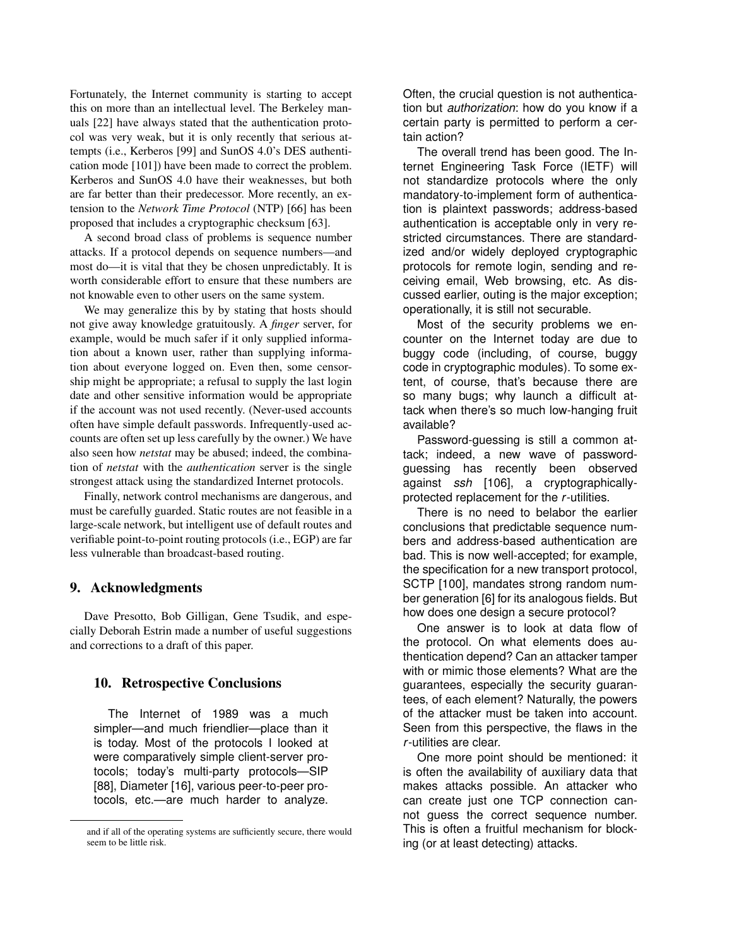Fortunately, the Internet community is starting to accept this on more than an intellectual level. The Berkeley manuals [22] have always stated that the authentication protocol was very weak, but it is only recently that serious attempts (i.e., Kerberos [99] and SunOS 4.0's DES authentication mode [101]) have been made to correct the problem. Kerberos and SunOS 4.0 have their weaknesses, but both are far better than their predecessor. More recently, an extension to the *Network Time Protocol* (NTP) [66] has been proposed that includes a cryptographic checksum [63].

A second broad class of problems is sequence number attacks. If a protocol depends on sequence numbers—and most do—it is vital that they be chosen unpredictably. It is worth considerable effort to ensure that these numbers are not knowable even to other users on the same system.

We may generalize this by by stating that hosts should not give away knowledge gratuitously. A *finger* server, for example, would be much safer if it only supplied information about a known user, rather than supplying information about everyone logged on. Even then, some censorship might be appropriate; a refusal to supply the last login date and other sensitive information would be appropriate if the account was not used recently. (Never-used accounts often have simple default passwords. Infrequently-used accounts are often set up less carefully by the owner.) We have also seen how *netstat* may be abused; indeed, the combination of *netstat* with the *authentication* server is the single strongest attack using the standardized Internet protocols.

Finally, network control mechanisms are dangerous, and must be carefully guarded. Static routes are not feasible in a large-scale network, but intelligent use of default routes and verifiable point-to-point routing protocols (i.e., EGP) are far less vulnerable than broadcast-based routing.

### **9. Acknowledgments**

Dave Presotto, Bob Gilligan, Gene Tsudik, and especially Deborah Estrin made a number of useful suggestions and corrections to a draft of this paper.

### **10. Retrospective Conclusions**

The Internet of 1989 was a much simpler—and much friendlier—place than it is today. Most of the protocols I looked at were comparatively simple client-server protocols; today's multi-party protocols—SIP [88], Diameter [16], various peer-to-peer protocols, etc.—are much harder to analyze. Often, the crucial question is not authentication but authorization: how do you know if a certain party is permitted to perform a certain action?

The overall trend has been good. The Internet Engineering Task Force (IETF) will not standardize protocols where the only mandatory-to-implement form of authentication is plaintext passwords; address-based authentication is acceptable only in very restricted circumstances. There are standardized and/or widely deployed cryptographic protocols for remote login, sending and receiving email, Web browsing, etc. As discussed earlier, outing is the major exception; operationally, it is still not securable.

Most of the security problems we encounter on the Internet today are due to buggy code (including, of course, buggy code in cryptographic modules). To some extent, of course, that's because there are so many bugs; why launch a difficult attack when there's so much low-hanging fruit available?

Password-guessing is still a common attack; indeed, a new wave of passwordguessing has recently been observed against ssh [106], a cryptographicallyprotected replacement for the r-utilities.

There is no need to belabor the earlier conclusions that predictable sequence numbers and address-based authentication are bad. This is now well-accepted; for example, the specification for a new transport protocol, SCTP [100], mandates strong random number generation [6] for its analogous fields. But how does one design a secure protocol?

One answer is to look at data flow of the protocol. On what elements does authentication depend? Can an attacker tamper with or mimic those elements? What are the guarantees, especially the security guarantees, of each element? Naturally, the powers of the attacker must be taken into account. Seen from this perspective, the flaws in the r-utilities are clear.

One more point should be mentioned: it is often the availability of auxiliary data that makes attacks possible. An attacker who can create just one TCP connection cannot guess the correct sequence number. This is often a fruitful mechanism for blocking (or at least detecting) attacks.

and if all of the operating systems are sufficiently secure, there would seem to be little risk.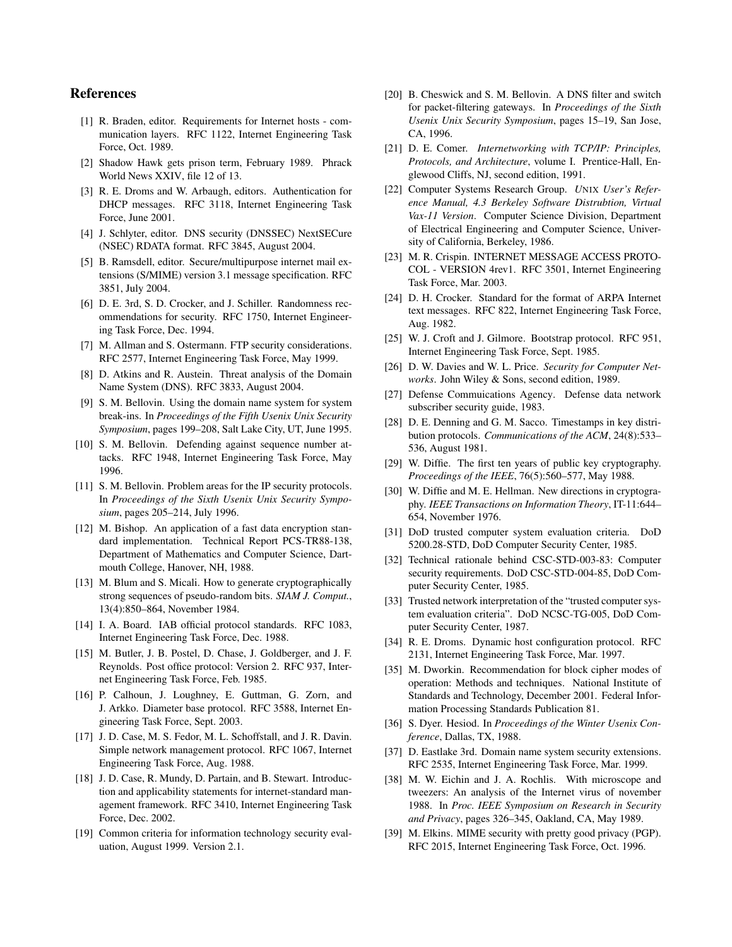# **References**

- [1] R. Braden, editor. Requirements for Internet hosts communication layers. RFC 1122, Internet Engineering Task Force, Oct. 1989.
- [2] Shadow Hawk gets prison term, February 1989. Phrack World News XXIV, file 12 of 13.
- [3] R. E. Droms and W. Arbaugh, editors. Authentication for DHCP messages. RFC 3118, Internet Engineering Task Force, June 2001.
- [4] J. Schlyter, editor. DNS security (DNSSEC) NextSECure (NSEC) RDATA format. RFC 3845, August 2004.
- [5] B. Ramsdell, editor. Secure/multipurpose internet mail extensions (S/MIME) version 3.1 message specification. RFC 3851, July 2004.
- [6] D. E. 3rd, S. D. Crocker, and J. Schiller. Randomness recommendations for security. RFC 1750, Internet Engineering Task Force, Dec. 1994.
- [7] M. Allman and S. Ostermann. FTP security considerations. RFC 2577, Internet Engineering Task Force, May 1999.
- [8] D. Atkins and R. Austein. Threat analysis of the Domain Name System (DNS). RFC 3833, August 2004.
- [9] S. M. Bellovin. Using the domain name system for system break-ins. In *Proceedings of the Fifth Usenix Unix Security Symposium*, pages 199–208, Salt Lake City, UT, June 1995.
- [10] S. M. Bellovin. Defending against sequence number attacks. RFC 1948, Internet Engineering Task Force, May 1996.
- [11] S. M. Bellovin. Problem areas for the IP security protocols. In *Proceedings of the Sixth Usenix Unix Security Symposium*, pages 205–214, July 1996.
- [12] M. Bishop. An application of a fast data encryption standard implementation. Technical Report PCS-TR88-138, Department of Mathematics and Computer Science, Dartmouth College, Hanover, NH, 1988.
- [13] M. Blum and S. Micali. How to generate cryptographically strong sequences of pseudo-random bits. *SIAM J. Comput.*, 13(4):850–864, November 1984.
- [14] I. A. Board. IAB official protocol standards. RFC 1083, Internet Engineering Task Force, Dec. 1988.
- [15] M. Butler, J. B. Postel, D. Chase, J. Goldberger, and J. F. Reynolds. Post office protocol: Version 2. RFC 937, Internet Engineering Task Force, Feb. 1985.
- [16] P. Calhoun, J. Loughney, E. Guttman, G. Zorn, and J. Arkko. Diameter base protocol. RFC 3588, Internet Engineering Task Force, Sept. 2003.
- [17] J. D. Case, M. S. Fedor, M. L. Schoffstall, and J. R. Davin. Simple network management protocol. RFC 1067, Internet Engineering Task Force, Aug. 1988.
- [18] J. D. Case, R. Mundy, D. Partain, and B. Stewart. Introduction and applicability statements for internet-standard management framework. RFC 3410, Internet Engineering Task Force, Dec. 2002.
- [19] Common criteria for information technology security evaluation, August 1999. Version 2.1.
- [20] B. Cheswick and S. M. Bellovin. A DNS filter and switch for packet-filtering gateways. In *Proceedings of the Sixth Usenix Unix Security Symposium*, pages 15–19, San Jose, CA, 1996.
- [21] D. E. Comer. *Internetworking with TCP/IP: Principles, Protocols, and Architecture*, volume I. Prentice-Hall, Englewood Cliffs, NJ, second edition, 1991.
- [22] Computer Systems Research Group. *U*NIX *User's Reference Manual, 4.3 Berkeley Software Distrubtion, Virtual Vax-11 Version*. Computer Science Division, Department of Electrical Engineering and Computer Science, University of California, Berkeley, 1986.
- [23] M. R. Crispin. INTERNET MESSAGE ACCESS PROTO-COL - VERSION 4rev1. RFC 3501, Internet Engineering Task Force, Mar. 2003.
- [24] D. H. Crocker. Standard for the format of ARPA Internet text messages. RFC 822, Internet Engineering Task Force, Aug. 1982.
- [25] W. J. Croft and J. Gilmore. Bootstrap protocol. RFC 951, Internet Engineering Task Force, Sept. 1985.
- [26] D. W. Davies and W. L. Price. *Security for Computer Networks*. John Wiley & Sons, second edition, 1989.
- [27] Defense Commuications Agency. Defense data network subscriber security guide, 1983.
- [28] D. E. Denning and G. M. Sacco. Timestamps in key distribution protocols. *Communications of the ACM*, 24(8):533– 536, August 1981.
- [29] W. Diffie. The first ten years of public key cryptography. *Proceedings of the IEEE*, 76(5):560–577, May 1988.
- [30] W. Diffie and M. E. Hellman. New directions in cryptography. *IEEE Transactions on Information Theory*, IT-11:644– 654, November 1976.
- [31] DoD trusted computer system evaluation criteria. DoD 5200.28-STD, DoD Computer Security Center, 1985.
- [32] Technical rationale behind CSC-STD-003-83: Computer security requirements. DoD CSC-STD-004-85, DoD Computer Security Center, 1985.
- [33] Trusted network interpretation of the "trusted computer system evaluation criteria". DoD NCSC-TG-005, DoD Computer Security Center, 1987.
- [34] R. E. Droms. Dynamic host configuration protocol. RFC 2131, Internet Engineering Task Force, Mar. 1997.
- [35] M. Dworkin. Recommendation for block cipher modes of operation: Methods and techniques. National Institute of Standards and Technology, December 2001. Federal Information Processing Standards Publication 81.
- [36] S. Dyer. Hesiod. In *Proceedings of the Winter Usenix Conference*, Dallas, TX, 1988.
- [37] D. Eastlake 3rd. Domain name system security extensions. RFC 2535, Internet Engineering Task Force, Mar. 1999.
- [38] M. W. Eichin and J. A. Rochlis. With microscope and tweezers: An analysis of the Internet virus of november 1988. In *Proc. IEEE Symposium on Research in Security and Privacy*, pages 326–345, Oakland, CA, May 1989.
- [39] M. Elkins. MIME security with pretty good privacy (PGP). RFC 2015, Internet Engineering Task Force, Oct. 1996.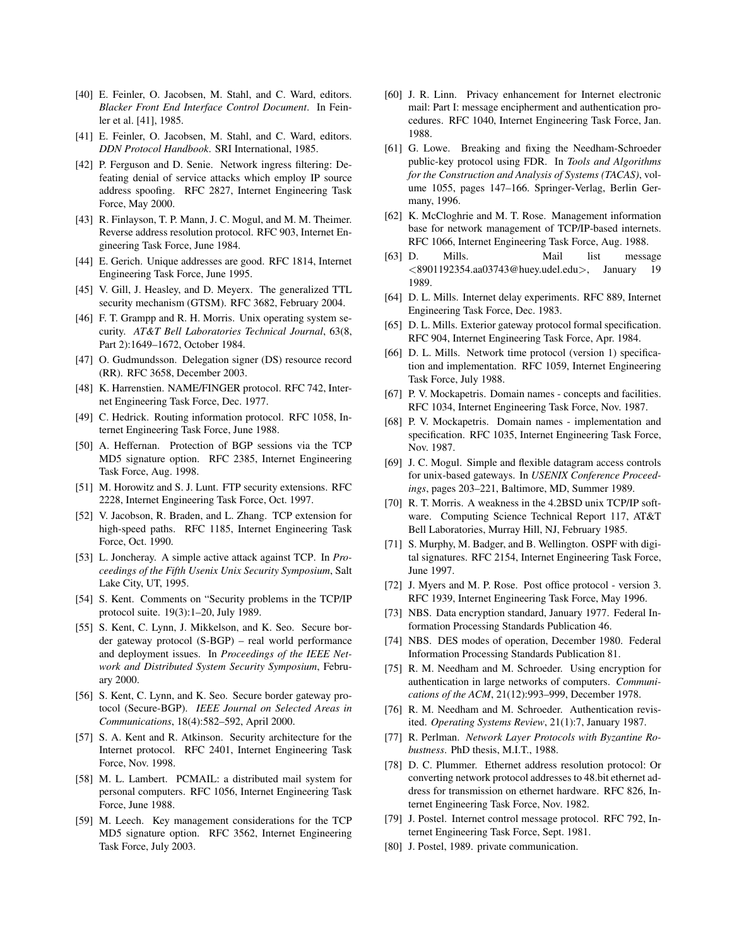- [40] E. Feinler, O. Jacobsen, M. Stahl, and C. Ward, editors. *Blacker Front End Interface Control Document*. In Feinler et al. [41], 1985.
- [41] E. Feinler, O. Jacobsen, M. Stahl, and C. Ward, editors. *DDN Protocol Handbook*. SRI International, 1985.
- [42] P. Ferguson and D. Senie. Network ingress filtering: Defeating denial of service attacks which employ IP source address spoofing. RFC 2827, Internet Engineering Task Force, May 2000.
- [43] R. Finlayson, T. P. Mann, J. C. Mogul, and M. M. Theimer. Reverse address resolution protocol. RFC 903, Internet Engineering Task Force, June 1984.
- [44] E. Gerich. Unique addresses are good. RFC 1814, Internet Engineering Task Force, June 1995.
- [45] V. Gill, J. Heasley, and D. Meyerx. The generalized TTL security mechanism (GTSM). RFC 3682, February 2004.
- [46] F. T. Grampp and R. H. Morris. Unix operating system security. *AT&T Bell Laboratories Technical Journal*, 63(8, Part 2):1649–1672, October 1984.
- [47] O. Gudmundsson. Delegation signer (DS) resource record (RR). RFC 3658, December 2003.
- [48] K. Harrenstien. NAME/FINGER protocol. RFC 742, Internet Engineering Task Force, Dec. 1977.
- [49] C. Hedrick. Routing information protocol. RFC 1058, Internet Engineering Task Force, June 1988.
- [50] A. Heffernan. Protection of BGP sessions via the TCP MD5 signature option. RFC 2385, Internet Engineering Task Force, Aug. 1998.
- [51] M. Horowitz and S. J. Lunt. FTP security extensions. RFC 2228, Internet Engineering Task Force, Oct. 1997.
- [52] V. Jacobson, R. Braden, and L. Zhang. TCP extension for high-speed paths. RFC 1185, Internet Engineering Task Force, Oct. 1990.
- [53] L. Joncheray. A simple active attack against TCP. In *Proceedings of the Fifth Usenix Unix Security Symposium*, Salt Lake City, UT, 1995.
- [54] S. Kent. Comments on "Security problems in the TCP/IP protocol suite. 19(3):1–20, July 1989.
- [55] S. Kent, C. Lynn, J. Mikkelson, and K. Seo. Secure border gateway protocol (S-BGP) – real world performance and deployment issues. In *Proceedings of the IEEE Network and Distributed System Security Symposium*, February 2000.
- [56] S. Kent, C. Lynn, and K. Seo. Secure border gateway protocol (Secure-BGP). *IEEE Journal on Selected Areas in Communications*, 18(4):582–592, April 2000.
- [57] S. A. Kent and R. Atkinson. Security architecture for the Internet protocol. RFC 2401, Internet Engineering Task Force, Nov. 1998.
- [58] M. L. Lambert. PCMAIL: a distributed mail system for personal computers. RFC 1056, Internet Engineering Task Force, June 1988.
- [59] M. Leech. Key management considerations for the TCP MD5 signature option. RFC 3562, Internet Engineering Task Force, July 2003.
- [60] J. R. Linn. Privacy enhancement for Internet electronic mail: Part I: message encipherment and authentication procedures. RFC 1040, Internet Engineering Task Force, Jan. 1988.
- [61] G. Lowe. Breaking and fixing the Needham-Schroeder public-key protocol using FDR. In *Tools and Algorithms for the Construction and Analysis of Systems (TACAS)*, volume 1055, pages 147–166. Springer-Verlag, Berlin Germany, 1996.
- [62] K. McCloghrie and M. T. Rose. Management information base for network management of TCP/IP-based internets. RFC 1066, Internet Engineering Task Force, Aug. 1988.
- [63] D. Mills. Mail list message <8901192354.aa03743@huey.udel.edu>, January 19 1989.
- [64] D. L. Mills. Internet delay experiments. RFC 889, Internet Engineering Task Force, Dec. 1983.
- [65] D. L. Mills. Exterior gateway protocol formal specification. RFC 904, Internet Engineering Task Force, Apr. 1984.
- [66] D. L. Mills. Network time protocol (version 1) specification and implementation. RFC 1059, Internet Engineering Task Force, July 1988.
- [67] P. V. Mockapetris. Domain names concepts and facilities. RFC 1034, Internet Engineering Task Force, Nov. 1987.
- [68] P. V. Mockapetris. Domain names implementation and specification. RFC 1035, Internet Engineering Task Force, Nov. 1987.
- [69] J. C. Mogul. Simple and flexible datagram access controls for unix-based gateways. In *USENIX Conference Proceedings*, pages 203–221, Baltimore, MD, Summer 1989.
- [70] R. T. Morris. A weakness in the 4.2BSD unix TCP/IP software. Computing Science Technical Report 117, AT&T Bell Laboratories, Murray Hill, NJ, February 1985.
- [71] S. Murphy, M. Badger, and B. Wellington. OSPF with digital signatures. RFC 2154, Internet Engineering Task Force, June 1997.
- [72] J. Myers and M. P. Rose. Post office protocol version 3. RFC 1939, Internet Engineering Task Force, May 1996.
- [73] NBS. Data encryption standard, January 1977. Federal Information Processing Standards Publication 46.
- [74] NBS. DES modes of operation, December 1980. Federal Information Processing Standards Publication 81.
- [75] R. M. Needham and M. Schroeder. Using encryption for authentication in large networks of computers. *Communications of the ACM*, 21(12):993–999, December 1978.
- [76] R. M. Needham and M. Schroeder. Authentication revisited. *Operating Systems Review*, 21(1):7, January 1987.
- [77] R. Perlman. *Network Layer Protocols with Byzantine Robustness*. PhD thesis, M.I.T., 1988.
- [78] D. C. Plummer. Ethernet address resolution protocol: Or converting network protocol addresses to 48.bit ethernet address for transmission on ethernet hardware. RFC 826, Internet Engineering Task Force, Nov. 1982.
- [79] J. Postel. Internet control message protocol. RFC 792, Internet Engineering Task Force, Sept. 1981.
- [80] J. Postel, 1989. private communication.